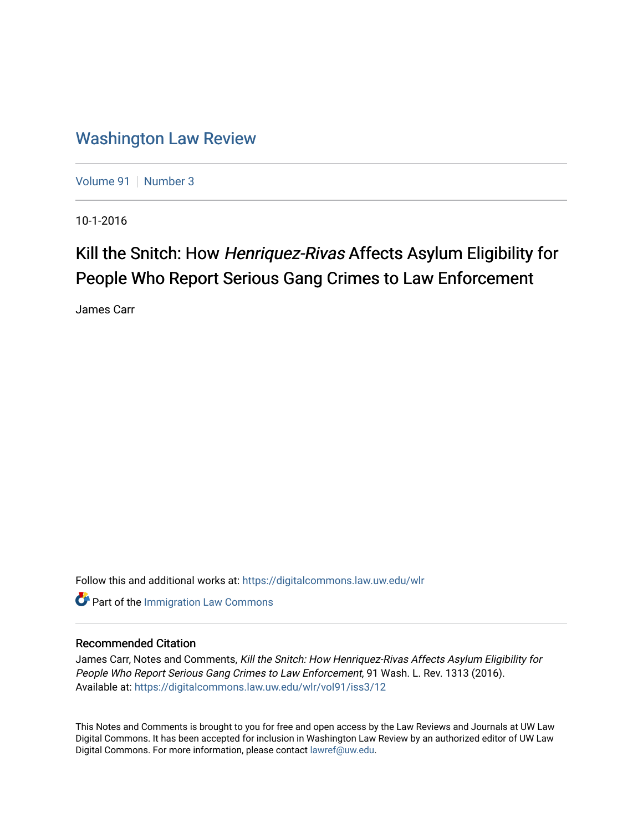## [Washington Law Review](https://digitalcommons.law.uw.edu/wlr)

[Volume 91](https://digitalcommons.law.uw.edu/wlr/vol91) | [Number 3](https://digitalcommons.law.uw.edu/wlr/vol91/iss3)

10-1-2016

# Kill the Snitch: How Henriquez-Rivas Affects Asylum Eligibility for People Who Report Serious Gang Crimes to Law Enforcement

James Carr

Follow this and additional works at: [https://digitalcommons.law.uw.edu/wlr](https://digitalcommons.law.uw.edu/wlr?utm_source=digitalcommons.law.uw.edu%2Fwlr%2Fvol91%2Fiss3%2F12&utm_medium=PDF&utm_campaign=PDFCoverPages)

**Part of the [Immigration Law Commons](http://network.bepress.com/hgg/discipline/604?utm_source=digitalcommons.law.uw.edu%2Fwlr%2Fvol91%2Fiss3%2F12&utm_medium=PDF&utm_campaign=PDFCoverPages)** 

### Recommended Citation

James Carr, Notes and Comments, Kill the Snitch: How Henriquez-Rivas Affects Asylum Eligibility for People Who Report Serious Gang Crimes to Law Enforcement, 91 Wash. L. Rev. 1313 (2016). Available at: [https://digitalcommons.law.uw.edu/wlr/vol91/iss3/12](https://digitalcommons.law.uw.edu/wlr/vol91/iss3/12?utm_source=digitalcommons.law.uw.edu%2Fwlr%2Fvol91%2Fiss3%2F12&utm_medium=PDF&utm_campaign=PDFCoverPages) 

This Notes and Comments is brought to you for free and open access by the Law Reviews and Journals at UW Law Digital Commons. It has been accepted for inclusion in Washington Law Review by an authorized editor of UW Law Digital Commons. For more information, please contact [lawref@uw.edu.](mailto:lawref@uw.edu)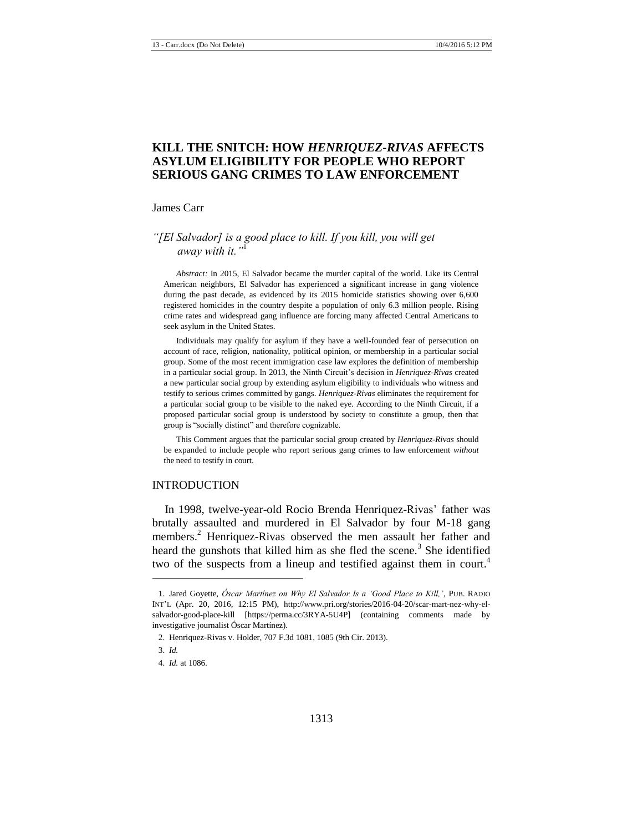## **KILL THE SNITCH: HOW** *HENRIQUEZ-RIVAS* **AFFECTS ASYLUM ELIGIBILITY FOR PEOPLE WHO REPORT SERIOUS GANG CRIMES TO LAW ENFORCEMENT**

#### James Carr

#### *"[El Salvador] is a good place to kill. If you kill, you will get away with it."*<sup>1</sup>

*Abstract:* In 2015, El Salvador became the murder capital of the world. Like its Central American neighbors, El Salvador has experienced a significant increase in gang violence during the past decade, as evidenced by its 2015 homicide statistics showing over 6,600 registered homicides in the country despite a population of only 6.3 million people. Rising crime rates and widespread gang influence are forcing many affected Central Americans to seek asylum in the United States.

Individuals may qualify for asylum if they have a well-founded fear of persecution on account of race, religion, nationality, political opinion, or membership in a particular social group. Some of the most recent immigration case law explores the definition of membership in a particular social group. In 2013, the Ninth Circuit's decision in *Henriquez-Rivas* created a new particular social group by extending asylum eligibility to individuals who witness and testify to serious crimes committed by gangs. *Henriquez-Rivas* eliminates the requirement for a particular social group to be visible to the naked eye. According to the Ninth Circuit, if a proposed particular social group is understood by society to constitute a group, then that group is "socially distinct" and therefore cognizable.

This Comment argues that the particular social group created by *Henriquez-Rivas* should be expanded to include people who report serious gang crimes to law enforcement *without* the need to testify in court.

#### INTRODUCTION

In 1998, twelve-year-old Rocio Brenda Henriquez-Rivas' father was brutally assaulted and murdered in El Salvador by four M-18 gang members.<sup>2</sup> Henriquez-Rivas observed the men assault her father and heard the gunshots that killed him as she fled the scene.<sup>3</sup> She identified two of the suspects from a lineup and testified against them in court.<sup>4</sup>

<sup>1.</sup> Jared Goyette, *Óscar Martínez on Why El Salvador Is a 'Good Place to Kill,'*, PUB. RADIO INT'L (Apr. 20, 2016, 12:15 PM), http://www.pri.org/stories/2016-04-20/scar-mart-nez-why-elsalvador-good-place-kill [https://perma.cc/3RYA-5U4P] (containing comments made by investigative journalist Óscar Martínez).

<sup>2.</sup> Henriquez-Rivas v. Holder, 707 F.3d 1081, 1085 (9th Cir. 2013).

<sup>3.</sup> *Id.*

<sup>4.</sup> *Id.* at 1086.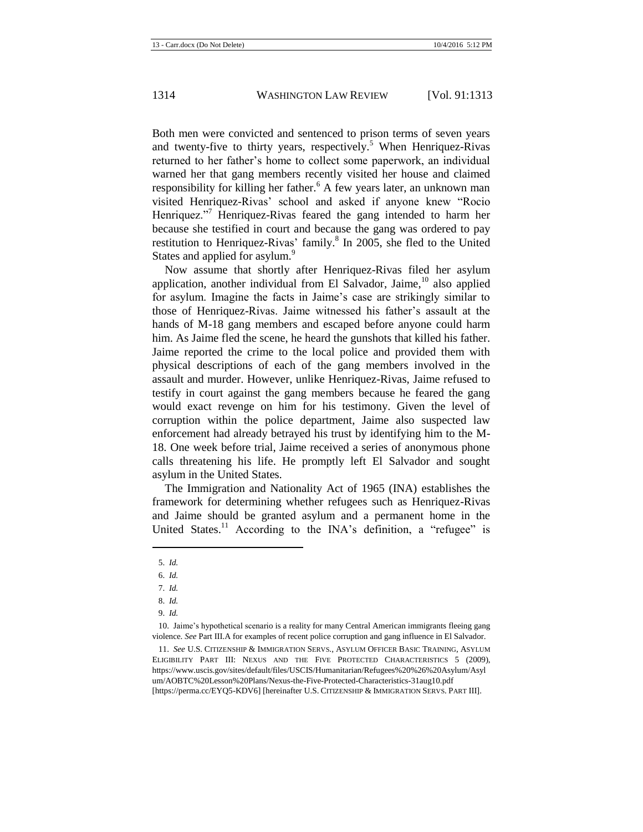Both men were convicted and sentenced to prison terms of seven years and twenty-five to thirty years, respectively.<sup>5</sup> When Henriquez-Rivas returned to her father's home to collect some paperwork, an individual warned her that gang members recently visited her house and claimed responsibility for killing her father.<sup>6</sup> A few years later, an unknown man visited Henriquez-Rivas' school and asked if anyone knew "Rocio Henriquez."<sup>7</sup> Henriquez-Rivas feared the gang intended to harm her because she testified in court and because the gang was ordered to pay restitution to Henriquez-Rivas' family.<sup>8</sup> In 2005, she fled to the United States and applied for asylum.<sup>9</sup>

Now assume that shortly after Henriquez-Rivas filed her asylum application, another individual from El Salvador, Jaime,  $10$  also applied for asylum. Imagine the facts in Jaime's case are strikingly similar to those of Henriquez-Rivas. Jaime witnessed his father's assault at the hands of M-18 gang members and escaped before anyone could harm him. As Jaime fled the scene, he heard the gunshots that killed his father. Jaime reported the crime to the local police and provided them with physical descriptions of each of the gang members involved in the assault and murder. However, unlike Henriquez-Rivas, Jaime refused to testify in court against the gang members because he feared the gang would exact revenge on him for his testimony. Given the level of corruption within the police department, Jaime also suspected law enforcement had already betrayed his trust by identifying him to the M-18. One week before trial, Jaime received a series of anonymous phone calls threatening his life. He promptly left El Salvador and sought asylum in the United States.

The Immigration and Nationality Act of 1965 (INA) establishes the framework for determining whether refugees such as Henriquez-Rivas and Jaime should be granted asylum and a permanent home in the United States.<sup>11</sup> According to the INA's definition, a "refugee" is

<span id="page-2-0"></span>l

10. Jaime's hypothetical scenario is a reality for many Central American immigrants fleeing gang violence. *See* Part III.A for examples of recent police corruption and gang influence in El Salvador.

11. *See* U.S. CITIZENSHIP & IMMIGRATION SERVS., ASYLUM OFFICER BASIC TRAINING, ASYLUM ELIGIBILITY PART III: NEXUS AND THE FIVE PROTECTED CHARACTERISTICS 5 (2009), https://www.uscis.gov/sites/default/files/USCIS/Humanitarian/Refugees%20%26%20Asylum/Asyl um/AOBTC%20Lesson%20Plans/Nexus-the-Five-Protected-Characteristics-31aug10.pdf [https://perma.cc/EYQ5-KDV6] [hereinafter U.S. CITIZENSHIP & IMMIGRATION SERVS. PART III].

<sup>5.</sup> *Id.*

<sup>6.</sup> *Id.*

<sup>7.</sup> *Id.*

<sup>8.</sup> *Id.*

<sup>9.</sup> *Id.*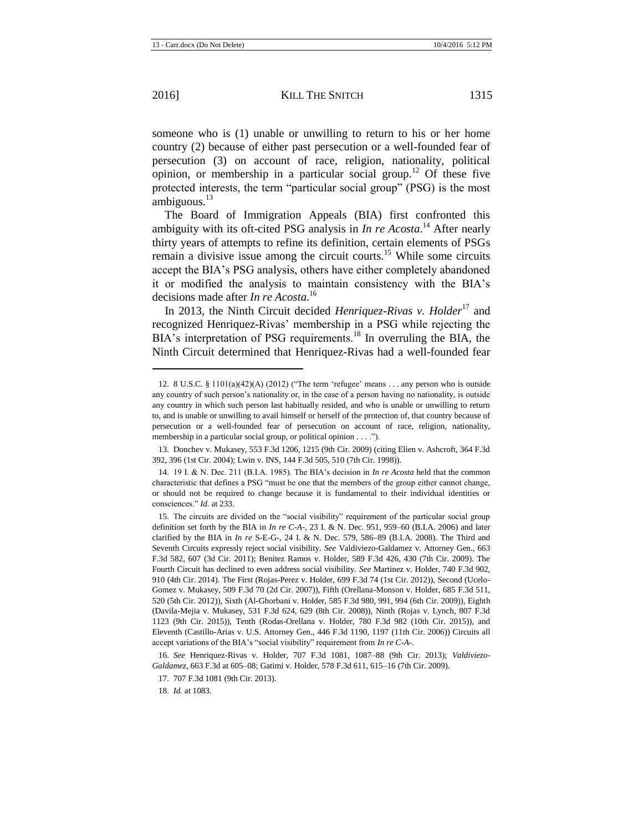l

someone who is (1) unable or unwilling to return to his or her home country (2) because of either past persecution or a well-founded fear of persecution (3) on account of race, religion, nationality, political opinion, or membership in a particular social group.<sup>12</sup> Of these five protected interests, the term "particular social group" (PSG) is the most ambiguous. $^{13}$ 

<span id="page-3-0"></span>The Board of Immigration Appeals (BIA) first confronted this ambiguity with its oft-cited PSG analysis in *In re Acosta*. <sup>14</sup> After nearly thirty years of attempts to refine its definition, certain elements of PSGs remain a divisive issue among the circuit courts.<sup>15</sup> While some circuits accept the BIA's PSG analysis, others have either completely abandoned it or modified the analysis to maintain consistency with the BIA's decisions made after *In re Acosta*. 16

In 2013, the Ninth Circuit decided *Henriquez-Rivas v. Holder*<sup>17</sup> and recognized Henriquez-Rivas' membership in a PSG while rejecting the BIA's interpretation of PSG requirements.<sup>18</sup> In overruling the BIA, the Ninth Circuit determined that Henriquez-Rivas had a well-founded fear

<sup>12.</sup> 8 U.S.C. § 1101(a)(42)(A) (2012) ("The term 'refugee' means . . . any person who is outside any country of such person's nationality or, in the case of a person having no nationality, is outside any country in which such person last habitually resided, and who is unable or unwilling to return to, and is unable or unwilling to avail himself or herself of the protection of, that country because of persecution or a well-founded fear of persecution on account of race, religion, nationality, membership in a particular social group, or political opinion . . . .").

<sup>13.</sup> Donchev v. Mukasey, 553 F.3d 1206, 1215 (9th Cir. 2009) (citing Elien v. Ashcroft, 364 F.3d 392, 396 (1st Cir. 2004); Lwin v. INS, 144 F.3d 505, 510 (7th Cir. 1998)).

<sup>14.</sup> 19 I. & N. Dec. 211 (B.I.A. 1985). The BIA's decision in *In re Acosta* held that the common characteristic that defines a PSG "must be one that the members of the group either cannot change, or should not be required to change because it is fundamental to their individual identities or consciences." *Id.* at 233.

<sup>15.</sup> The circuits are divided on the "social visibility" requirement of the particular social group definition set forth by the BIA in *In re C-A-*, 23 I. & N. Dec. 951, 959–60 (B.I.A. 2006) and later clarified by the BIA in *In re* S-E-G-*,* 24 I. & N. Dec. 579, 586–89 (B.I.A. 2008). The Third and Seventh Circuits expressly reject social visibility. *See* Valdiviezo-Galdamez v. Attorney Gen., 663 F.3d 582, 607 (3d Cir. 2011); Benitez Ramos v. Holder, 589 F.3d 426, 430 (7th Cir. 2009). The Fourth Circuit has declined to even address social visibility. *See* Martinez v. Holder, 740 F.3d 902, 910 (4th Cir. 2014). The First (Rojas-Perez v. Holder, 699 F.3d 74 (1st Cir. 2012)), Second (Ucelo-Gomez v. Mukasey, 509 F.3d 70 (2d Cir. 2007)), Fifth (Orellana-Monson v. Holder, 685 F.3d 511, 520 (5th Cir. 2012)), Sixth (Al-Ghorbani v. Holder, 585 F.3d 980, 991, 994 (6th Cir. 2009)), Eighth (Davila-Mejia v. Mukasey, 531 F.3d 624, 629 (8th Cir. 2008)), Ninth (Rojas v. Lynch, 807 F.3d 1123 (9th Cir. 2015)), Tenth (Rodas-Orellana v. Holder, 780 F.3d 982 (10th Cir. 2015)), and Eleventh (Castillo-Arias v. U.S. Attorney Gen., 446 F.3d 1190, 1197 (11th Cir. 2006)) Circuits all accept variations of the BIA's "social visibility" requirement from *In re C-A-*.

<sup>16.</sup> *See* Henriquez-Rivas v. Holder, 707 F.3d 1081, 1087–88 (9th Cir. 2013); *Valdiviezo-Galdamez*, 663 F.3d at 605–08; Gatimi v. Holder, 578 F.3d 611, 615–16 (7th Cir. 2009).

<sup>17.</sup> 707 F.3d 1081 (9th Cir. 2013).

<sup>18.</sup> *Id.* at 1083.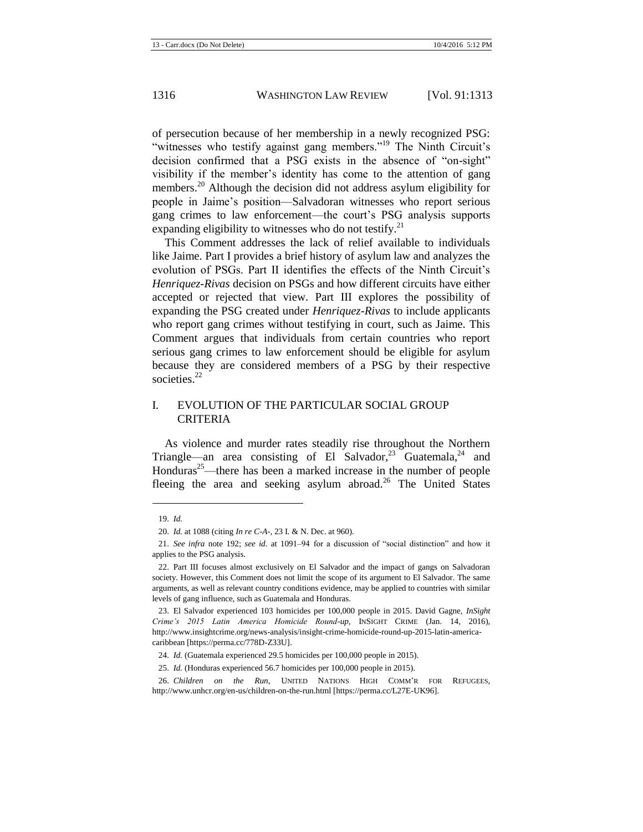of persecution because of her membership in a newly recognized PSG: "witnesses who testify against gang members."<sup>19</sup> The Ninth Circuit's decision confirmed that a PSG exists in the absence of "on-sight" visibility if the member's identity has come to the attention of gang members.<sup>20</sup> Although the decision did not address asylum eligibility for people in Jaime's position—Salvadoran witnesses who report serious gang crimes to law enforcement—the court's PSG analysis supports expanding eligibility to witnesses who do not testify. $^{21}$ 

This Comment addresses the lack of relief available to individuals like Jaime. Part I provides a brief history of asylum law and analyzes the evolution of PSGs. Part II identifies the effects of the Ninth Circuit's *Henriquez-Rivas* decision on PSGs and how different circuits have either accepted or rejected that view. Part III explores the possibility of expanding the PSG created under *Henriquez-Rivas* to include applicants who report gang crimes without testifying in court, such as Jaime. This Comment argues that individuals from certain countries who report serious gang crimes to law enforcement should be eligible for asylum because they are considered members of a PSG by their respective societies.<sup>22</sup>

#### I. EVOLUTION OF THE PARTICULAR SOCIAL GROUP CRITERIA

As violence and murder rates steadily rise throughout the Northern Triangle—an area consisting of El Salvador,<sup>23</sup> Guatemala,<sup>24</sup> and Honduras<sup>25</sup>—there has been a marked increase in the number of people fleeing the area and seeking asylum abroad.<sup>26</sup> The United States

<sup>19.</sup> *Id.*

<sup>20.</sup> *Id.* at 1088 (citing *In re C-A-*, 23 I. & N. Dec. at 960).

<sup>21.</sup> *See infra* note [192;](#page-23-0) *see id.* at 1091–94 for a discussion of "social distinction" and how it applies to the PSG analysis.

<sup>22.</sup> Part III focuses almost exclusively on El Salvador and the impact of gangs on Salvadoran society. However, this Comment does not limit the scope of its argument to El Salvador. The same arguments, as well as relevant country conditions evidence, may be applied to countries with similar levels of gang influence, such as Guatemala and Honduras.

<sup>23.</sup> El Salvador experienced 103 homicides per 100,000 people in 2015. David Gagne, *InSight Crime's 2015 Latin America Homicide Round-up*, INSIGHT CRIME (Jan. 14, 2016), http://www.insightcrime.org/news-analysis/insight-crime-homicide-round-up-2015-latin-americacaribbean [https://perma.cc/778D-Z33U].

<sup>24.</sup> *Id.* (Guatemala experienced 29.5 homicides per 100,000 people in 2015).

<sup>25.</sup> *Id.* (Honduras experienced 56.7 homicides per 100,000 people in 2015).

<sup>26.</sup> *Children on the Run*, UNITED NATIONS HIGH COMM'R FOR REFUGEES, http://www.unhcr.org/en-us/children-on-the-run.html [https://perma.cc/L27E-UK96].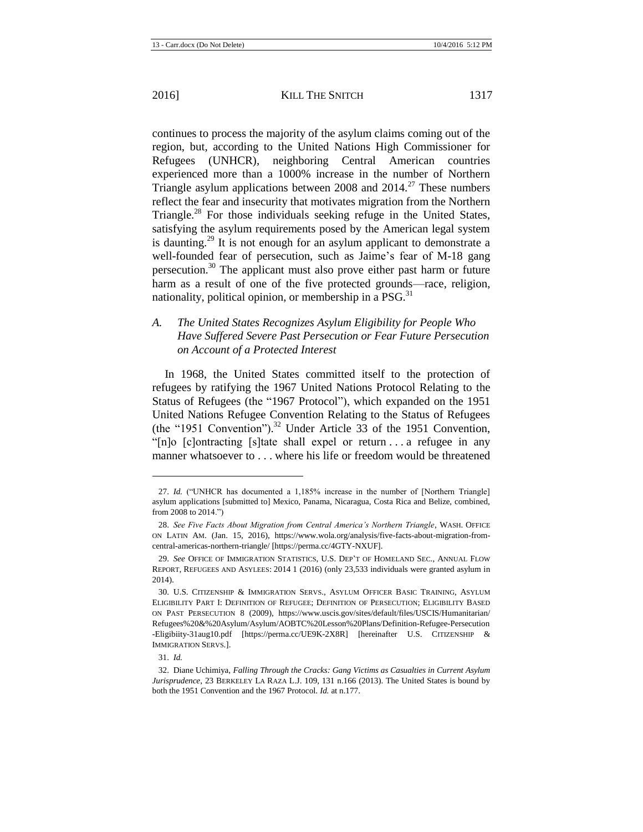continues to process the majority of the asylum claims coming out of the region, but, according to the United Nations High Commissioner for Refugees (UNHCR), neighboring Central American countries experienced more than a 1000% increase in the number of Northern Triangle asylum applications between 2008 and  $2014<sup>27</sup>$  These numbers reflect the fear and insecurity that motivates migration from the Northern Triangle.<sup>28</sup> For those individuals seeking refuge in the United States, satisfying the asylum requirements posed by the American legal system is daunting.<sup>29</sup> It is not enough for an asylum applicant to demonstrate a well-founded fear of persecution, such as Jaime's fear of M-18 gang persecution.<sup>30</sup> The applicant must also prove either past harm or future harm as a result of one of the five protected grounds—race, religion, nationality, political opinion, or membership in a  $PSG<sup>31</sup>$ 

## <span id="page-5-1"></span>*A. The United States Recognizes Asylum Eligibility for People Who Have Suffered Severe Past Persecution or Fear Future Persecution on Account of a Protected Interest*

<span id="page-5-0"></span>In 1968, the United States committed itself to the protection of refugees by ratifying the 1967 United Nations Protocol Relating to the Status of Refugees (the "1967 Protocol"), which expanded on the 1951 United Nations Refugee Convention Relating to the Status of Refugees (the "1951 Convention"). <sup>32</sup> Under Article 33 of the 1951 Convention, "[n]o [c]ontracting [s]tate shall expel or return . . . a refugee in any manner whatsoever to . . . where his life or freedom would be threatened

<sup>27.</sup> *Id.* ("UNHCR has documented a 1,185% increase in the number of [Northern Triangle] asylum applications [submitted to] Mexico, Panama, Nicaragua, Costa Rica and Belize, combined, from 2008 to 2014.")

<sup>28.</sup> *See Five Facts About Migration from Central America's Northern Triangle*, WASH. OFFICE ON LATIN AM. (Jan. 15, 2016), https://www.wola.org/analysis/five-facts-about-migration-fromcentral-americas-northern-triangle/ [https://perma.cc/4GTY-NXUF].

<sup>29.</sup> *See* OFFICE OF IMMIGRATION STATISTICS, U.S. DEP'T OF HOMELAND SEC., ANNUAL FLOW REPORT, REFUGEES AND ASYLEES: 2014 1 (2016) (only 23,533 individuals were granted asylum in 2014).

<sup>30.</sup> U.S. CITIZENSHIP & IMMIGRATION SERVS., ASYLUM OFFICER BASIC TRAINING, ASYLUM ELIGIBILITY PART I: DEFINITION OF REFUGEE; DEFINITION OF PERSECUTION; ELIGIBILITY BASED ON PAST PERSECUTION 8 (2009), https://www.uscis.gov/sites/default/files/USCIS/Humanitarian/ Refugees%20&%20Asylum/Asylum/AOBTC%20Lesson%20Plans/Definition-Refugee-Persecution -Eligibiity-31aug10.pdf [https://perma.cc/UE9K-2X8R] [hereinafter U.S. CITIZENSHIP & IMMIGRATION SERVS.].

<sup>31.</sup> *Id.*

<sup>32.</sup> Diane Uchimiya, *Falling Through the Cracks: Gang Victims as Casualties in Current Asylum Jurisprudence*, 23 BERKELEY LA RAZA L.J. 109, 131 n.166 (2013). The United States is bound by both the 1951 Convention and the 1967 Protocol. *Id.* at n.177.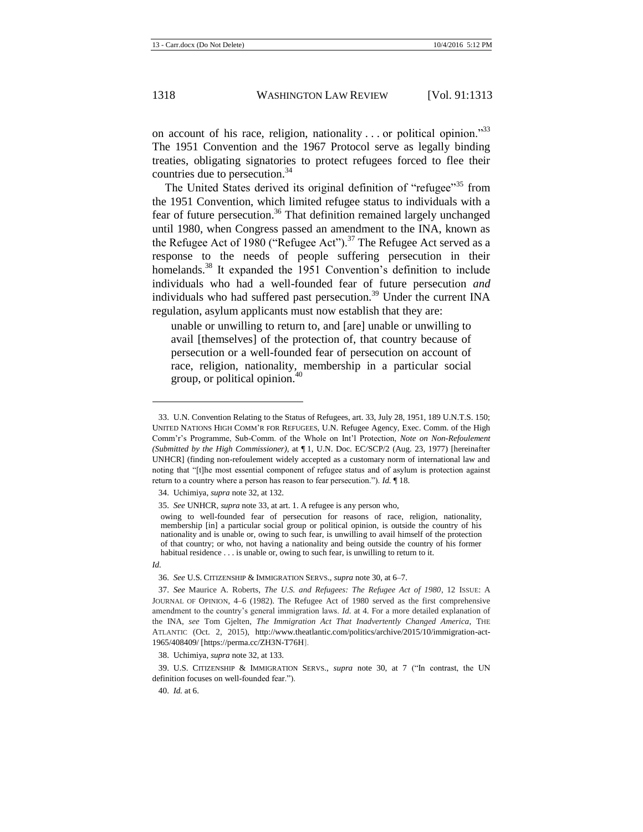<span id="page-6-0"></span>on account of his race, religion, nationality . . . or political opinion."<sup>33</sup> The 1951 Convention and the 1967 Protocol serve as legally binding treaties, obligating signatories to protect refugees forced to flee their countries due to persecution.<sup>34</sup>

The United States derived its original definition of "refugee"<sup>35</sup> from the 1951 Convention, which limited refugee status to individuals with a fear of future persecution.<sup>36</sup> That definition remained largely unchanged until 1980, when Congress passed an amendment to the INA, known as the Refugee Act of 1980 ("Refugee Act").<sup>37</sup> The Refugee Act served as a response to the needs of people suffering persecution in their homelands.<sup>38</sup> It expanded the 1951 Convention's definition to include individuals who had a well-founded fear of future persecution *and*  individuals who had suffered past persecution.<sup>39</sup> Under the current INA regulation, asylum applicants must now establish that they are:

unable or unwilling to return to, and [are] unable or unwilling to avail [themselves] of the protection of, that country because of persecution or a well-founded fear of persecution on account of race, religion, nationality, membership in a particular social group, or political opinion. $40$ 

*Id.*

 $\overline{a}$ 

<sup>33.</sup> U.N. Convention Relating to the Status of Refugees, art. 33, July 28, 1951, 189 U.N.T.S. 150; UNITED NATIONS HIGH COMM'R FOR REFUGEES, U.N. Refugee Agency, Exec. Comm. of the High Comm'r's Programme, Sub-Comm. of the Whole on Int'l Protection, *Note on Non-Refoulement (Submitted by the High Commissioner)*, at ¶ 1, U.N. Doc. EC/SCP/2 (Aug. 23, 1977) [hereinafter UNHCR] (finding non-refoulement widely accepted as a customary norm of international law and noting that "[t]he most essential component of refugee status and of asylum is protection against return to a country where a person has reason to fear persecution."). *Id.* ¶ 18.

<sup>34.</sup> Uchimiya, *supra* not[e 32,](#page-5-0) at 132.

<sup>35.</sup> *See* UNHCR, *supra* not[e 33,](#page-6-0) at art. 1. A refugee is any person who,

owing to well-founded fear of persecution for reasons of race, religion, nationality, membership [in] a particular social group or political opinion, is outside the country of his nationality and is unable or, owing to such fear, is unwilling to avail himself of the protection of that country; or who, not having a nationality and being outside the country of his former habitual residence . . . is unable or, owing to such fear, is unwilling to return to it.

<sup>36.</sup> *See* U.S. CITIZENSHIP & IMMIGRATION SERVS., *supra* not[e 30,](#page-5-1) at 6–7.

<sup>37.</sup> *See* Maurice A. Roberts, *The U.S. and Refugees: The Refugee Act of 1980*, 12 ISSUE: A JOURNAL OF OPINION, 4–6 (1982). The Refugee Act of 1980 served as the first comprehensive amendment to the country's general immigration laws. *Id.* at 4. For a more detailed explanation of the INA, *see* Tom Gjelten, *The Immigration Act That Inadvertently Changed America*, THE ATLANTIC (Oct. 2, 2015), http://www.theatlantic.com/politics/archive/2015/10/immigration-act-1965/408409/ [https://perma.cc/ZH3N-T76H].

<sup>38.</sup> Uchimiya, *supra* not[e 32,](#page-5-0) at 133.

<sup>39.</sup> U.S. CITIZENSHIP & IMMIGRATION SERVS., *supra* note [30,](#page-5-1) at 7 ("In contrast, the UN definition focuses on well-founded fear.").

<sup>40.</sup> *Id.* at 6.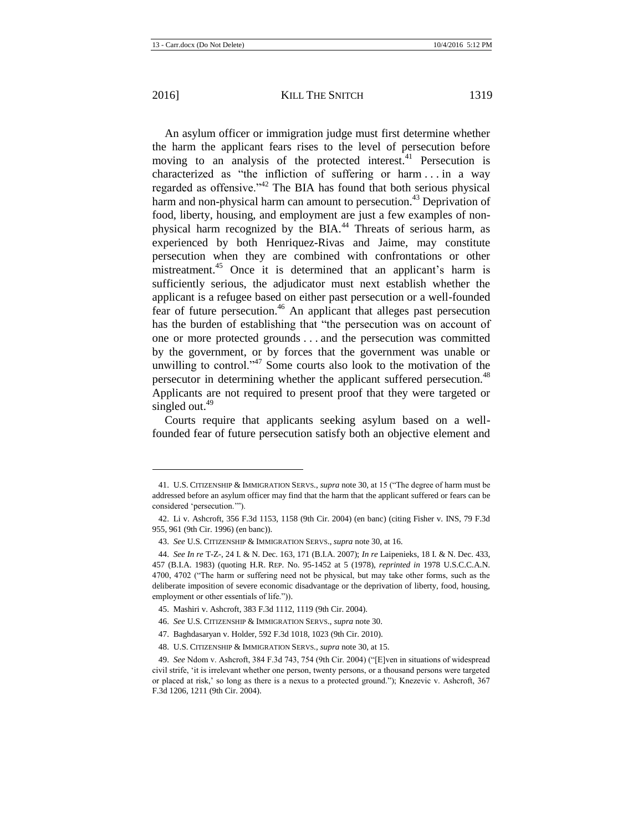l

An asylum officer or immigration judge must first determine whether the harm the applicant fears rises to the level of persecution before moving to an analysis of the protected interest.<sup>41</sup> Persecution is characterized as "the infliction of suffering or harm . . . in a way regarded as offensive."<sup>42</sup> The BIA has found that both serious physical harm and non-physical harm can amount to persecution.<sup>43</sup> Deprivation of food, liberty, housing, and employment are just a few examples of nonphysical harm recognized by the BIA.<sup>44</sup> Threats of serious harm, as experienced by both Henriquez-Rivas and Jaime, may constitute persecution when they are combined with confrontations or other mistreatment.<sup>45</sup> Once it is determined that an applicant's harm is sufficiently serious, the adjudicator must next establish whether the applicant is a refugee based on either past persecution or a well-founded fear of future persecution.<sup>46</sup> An applicant that alleges past persecution has the burden of establishing that "the persecution was on account of one or more protected grounds . . . and the persecution was committed by the government, or by forces that the government was unable or unwilling to control."<sup>47</sup> Some courts also look to the motivation of the persecutor in determining whether the applicant suffered persecution.<sup>48</sup> Applicants are not required to present proof that they were targeted or singled out. $49$ 

Courts require that applicants seeking asylum based on a wellfounded fear of future persecution satisfy both an objective element and

<sup>41.</sup> U.S. CITIZENSHIP & IMMIGRATION SERVS., *supra* not[e 30,](#page-5-1) at 15 ("The degree of harm must be addressed before an asylum officer may find that the harm that the applicant suffered or fears can be considered 'persecution.'").

<sup>42.</sup> Li v. Ashcroft, 356 F.3d 1153, 1158 (9th Cir. 2004) (en banc) (citing Fisher v. INS, 79 F.3d 955, 961 (9th Cir. 1996) (en banc)).

<sup>43.</sup> *See* U.S. CITIZENSHIP & IMMIGRATION SERVS., *supra* not[e 30,](#page-5-1) at 16.

<sup>44.</sup> *See In re* T-Z-, 24 I. & N. Dec. 163, 171 (B.I.A. 2007); *In re* Laipenieks, 18 I. & N. Dec. 433, 457 (B.I.A. 1983) (quoting H.R. REP. No. 95-1452 at 5 (1978), *reprinted in* 1978 U.S.C.C.A.N. 4700, 4702 ("The harm or suffering need not be physical, but may take other forms, such as the deliberate imposition of severe economic disadvantage or the deprivation of liberty, food, housing, employment or other essentials of life.")).

<sup>45.</sup> Mashiri v. Ashcroft*,* 383 F.3d 1112, 1119 (9th Cir. 2004).

<sup>46.</sup> *See* U.S. CITIZENSHIP & IMMIGRATION SERVS., *supra* not[e 30.](#page-5-1)

<sup>47.</sup> Baghdasaryan v. Holder, 592 F.3d 1018, 1023 (9th Cir. 2010).

<sup>48.</sup> U.S. CITIZENSHIP & IMMIGRATION SERVS.*, supra* not[e 30,](#page-5-1) at 15.

<sup>49.</sup> *See* Ndom v. Ashcroft, 384 F.3d 743, 754 (9th Cir. 2004) ("[E]ven in situations of widespread civil strife, 'it is irrelevant whether one person, twenty persons, or a thousand persons were targeted or placed at risk,' so long as there is a nexus to a protected ground."); Knezevic v. Ashcroft, 367 F.3d 1206, 1211 (9th Cir. 2004).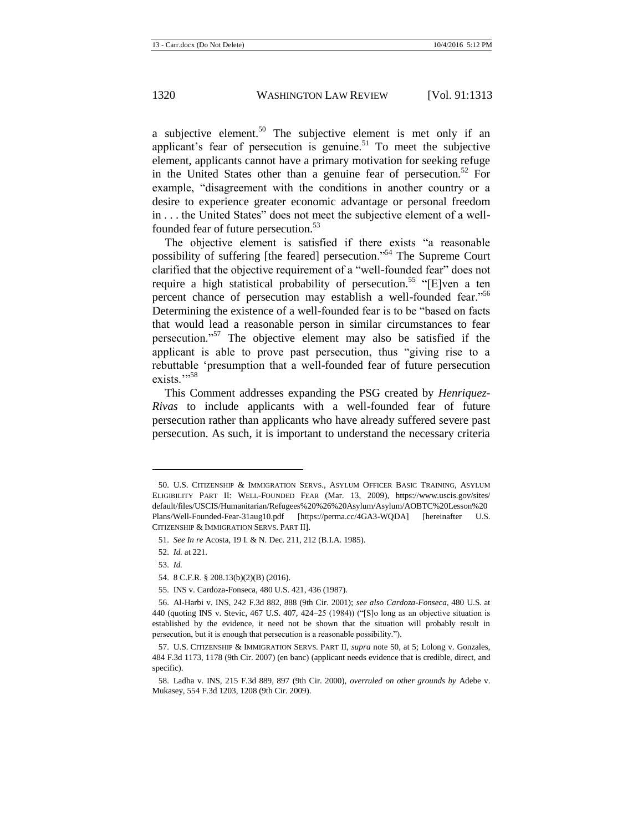<span id="page-8-0"></span>a subjective element.<sup>50</sup> The subjective element is met only if an applicant's fear of persecution is genuine.<sup>51</sup> To meet the subjective element, applicants cannot have a primary motivation for seeking refuge in the United States other than a genuine fear of persecution.<sup>52</sup> For example, "disagreement with the conditions in another country or a desire to experience greater economic advantage or personal freedom in . . . the United States" does not meet the subjective element of a wellfounded fear of future persecution.<sup>53</sup>

The objective element is satisfied if there exists "a reasonable possibility of suffering [the feared] persecution."<sup>54</sup> The Supreme Court clarified that the objective requirement of a "well-founded fear" does not require a high statistical probability of persecution.<sup>55</sup> "[E]ven a ten percent chance of persecution may establish a well-founded fear."<sup>56</sup> Determining the existence of a well-founded fear is to be "based on facts that would lead a reasonable person in similar circumstances to fear persecution."<sup>57</sup> The objective element may also be satisfied if the applicant is able to prove past persecution, thus "giving rise to a rebuttable 'presumption that a well-founded fear of future persecution exists.">58

This Comment addresses expanding the PSG created by *Henriquez-Rivas* to include applicants with a well-founded fear of future persecution rather than applicants who have already suffered severe past persecution. As such, it is important to understand the necessary criteria

<sup>50.</sup> U.S. CITIZENSHIP & IMMIGRATION SERVS., ASYLUM OFFICER BASIC TRAINING, ASYLUM ELIGIBILITY PART II: WELL-FOUNDED FEAR (Mar. 13, 2009), https://www.uscis.gov/sites/ default/files/USCIS/Humanitarian/Refugees%20%26%20Asylum/Asylum/AOBTC%20Lesson%20 Plans/Well-Founded-Fear-31aug10.pdf [https://perma.cc/4GA3-WQDA] [hereinafter U.S. CITIZENSHIP & IMMIGRATION SERVS. PART II].

<sup>51.</sup> *See In re* Acosta, 19 I. & N. Dec. 211, 212 (B.I.A. 1985).

<sup>52.</sup> *Id.* at 221.

<sup>53.</sup> *Id.*

<sup>54.</sup> 8 C.F.R. § 208.13(b)(2)(B) (2016).

<sup>55.</sup> INS v. Cardoza-Fonseca, 480 U.S. 421, 436 (1987).

<sup>56.</sup> Al-Harbi v. INS, 242 F.3d 882, 888 (9th Cir. 2001); *see also Cardoza-Fonseca*, 480 U.S. at 440 (quoting INS v. Stevic, 467 U.S. 407, 424–25 (1984)) ("[S]o long as an objective situation is established by the evidence, it need not be shown that the situation will probably result in persecution, but it is enough that persecution is a reasonable possibility.").

<sup>57.</sup> U.S. CITIZENSHIP & IMMIGRATION SERVS. PART II, *supra* not[e 50,](#page-8-0) at 5; Lolong v. Gonzales, 484 F.3d 1173, 1178 (9th Cir. 2007) (en banc) (applicant needs evidence that is credible, direct, and specific).

<sup>58.</sup> Ladha v. INS, 215 F.3d 889, 897 (9th Cir. 2000), *overruled on other grounds by* Adebe v. Mukasey, 554 F.3d 1203, 1208 (9th Cir. 2009).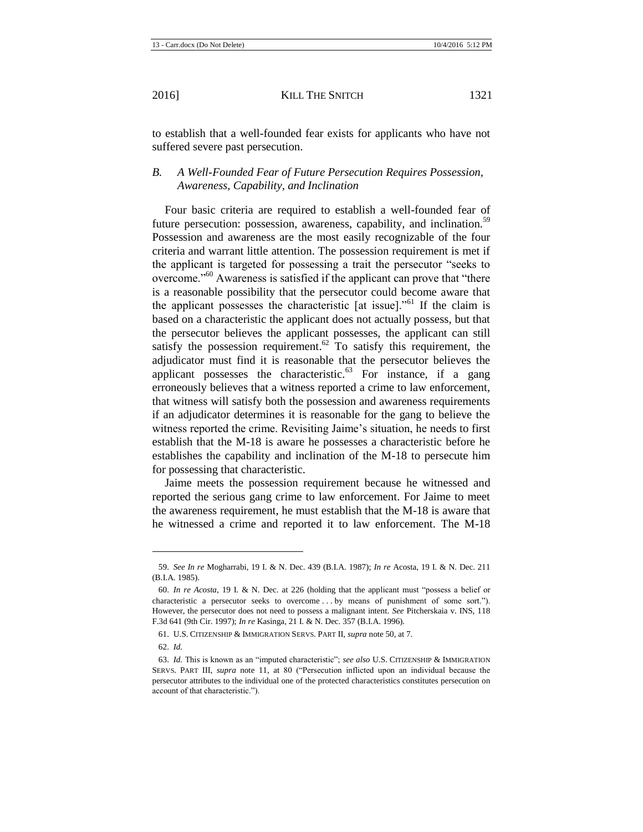to establish that a well-founded fear exists for applicants who have not suffered severe past persecution.

## *B. A Well-Founded Fear of Future Persecution Requires Possession, Awareness, Capability, and Inclination*

Four basic criteria are required to establish a well-founded fear of future persecution: possession, awareness, capability, and inclination.<sup>59</sup> Possession and awareness are the most easily recognizable of the four criteria and warrant little attention. The possession requirement is met if the applicant is targeted for possessing a trait the persecutor "seeks to overcome."<sup>60</sup> Awareness is satisfied if the applicant can prove that "there is a reasonable possibility that the persecutor could become aware that the applicant possesses the characteristic [at issue]."<sup>61</sup> If the claim is based on a characteristic the applicant does not actually possess, but that the persecutor believes the applicant possesses, the applicant can still satisfy the possession requirement.<sup>62</sup> To satisfy this requirement, the adjudicator must find it is reasonable that the persecutor believes the applicant possesses the characteristic. $^{63}$  For instance, if a gang erroneously believes that a witness reported a crime to law enforcement, that witness will satisfy both the possession and awareness requirements if an adjudicator determines it is reasonable for the gang to believe the witness reported the crime. Revisiting Jaime's situation, he needs to first establish that the M-18 is aware he possesses a characteristic before he establishes the capability and inclination of the M-18 to persecute him for possessing that characteristic.

<span id="page-9-0"></span>Jaime meets the possession requirement because he witnessed and reported the serious gang crime to law enforcement. For Jaime to meet the awareness requirement, he must establish that the M-18 is aware that he witnessed a crime and reported it to law enforcement. The M-18

<sup>59.</sup> *See In re* Mogharrabi, 19 I. & N. Dec. 439 (B.I.A. 1987); *In re* Acosta, 19 I. & N. Dec. 211 (B.I.A. 1985).

<sup>60.</sup> *In re Acosta*, 19 I. & N. Dec. at 226 (holding that the applicant must "possess a belief or characteristic a persecutor seeks to overcome . . . by means of punishment of some sort."). However, the persecutor does not need to possess a malignant intent. *See* Pitcherskaia v. INS, 118 F.3d 641 (9th Cir. 1997); *In re* Kasinga*,* 21 I. & N. Dec. 357 (B.I.A. 1996).

<sup>61.</sup> U.S. CITIZENSHIP & IMMIGRATION SERVS. PART II, *supra* not[e 50,](#page-8-0) at 7.

<sup>62.</sup> *Id.*

<sup>63.</sup> *Id.* This is known as an "imputed characteristic"; *see also* U.S. CITIZENSHIP & IMMIGRATION SERVS. PART III, *supra* note [11,](#page-2-0) at 80 ("Persecution inflicted upon an individual because the persecutor attributes to the individual one of the protected characteristics constitutes persecution on account of that characteristic.").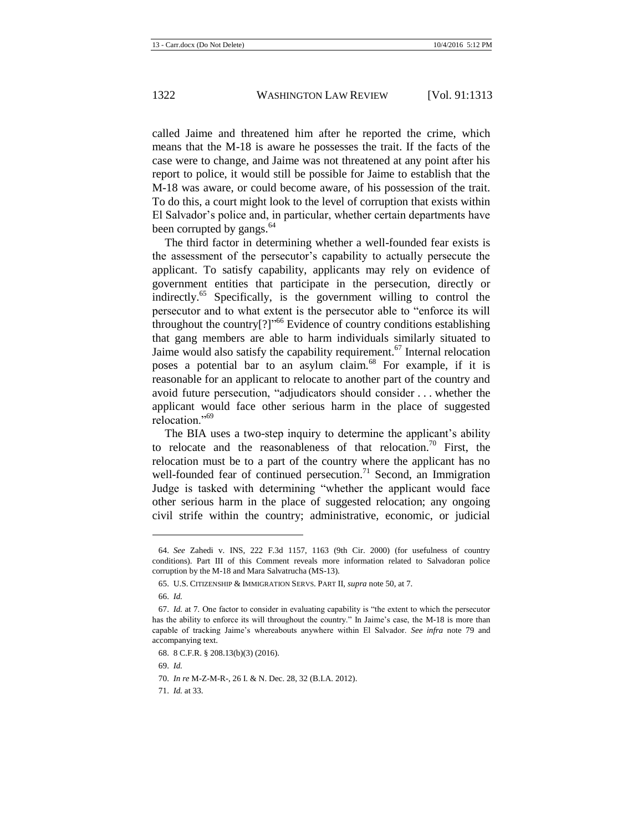called Jaime and threatened him after he reported the crime, which means that the M-18 is aware he possesses the trait. If the facts of the case were to change, and Jaime was not threatened at any point after his report to police, it would still be possible for Jaime to establish that the M-18 was aware, or could become aware, of his possession of the trait. To do this, a court might look to the level of corruption that exists within El Salvador's police and, in particular, whether certain departments have been corrupted by gangs.<sup>64</sup>

The third factor in determining whether a well-founded fear exists is the assessment of the persecutor's capability to actually persecute the applicant. To satisfy capability, applicants may rely on evidence of government entities that participate in the persecution, directly or indirectly.<sup>65</sup> Specifically, is the government willing to control the persecutor and to what extent is the persecutor able to "enforce its will throughout the country[?]" <sup>66</sup> Evidence of country conditions establishing that gang members are able to harm individuals similarly situated to Jaime would also satisfy the capability requirement.<sup>67</sup> Internal relocation poses a potential bar to an asylum claim.<sup>68</sup> For example, if it is reasonable for an applicant to relocate to another part of the country and avoid future persecution, "adjudicators should consider . . . whether the applicant would face other serious harm in the place of suggested relocation<sup>"69</sup>

The BIA uses a two-step inquiry to determine the applicant's ability to relocate and the reasonableness of that relocation.<sup>70</sup> First, the relocation must be to a part of the country where the applicant has no well-founded fear of continued persecution.<sup>71</sup> Second, an Immigration Judge is tasked with determining "whether the applicant would face other serious harm in the place of suggested relocation; any ongoing civil strife within the country; administrative, economic, or judicial

<sup>64.</sup> *See* Zahedi v. INS, 222 F.3d 1157, 1163 (9th Cir. 2000) (for usefulness of country conditions). Part III of this Comment reveals more information related to Salvadoran police corruption by the M-18 and Mara Salvatrucha (MS-13).

<sup>65.</sup> U.S. CITIZENSHIP & IMMIGRATION SERVS. PART II, *supra* not[e 50,](#page-8-0) at 7.

<sup>66.</sup> *Id.*

<sup>67.</sup> *Id.* at 7*.* One factor to consider in evaluating capability is "the extent to which the persecutor has the ability to enforce its will throughout the country." In Jaime's case, the M-18 is more than capable of tracking Jaime's whereabouts anywhere within El Salvador. *See infra* note [79](#page-12-0) and accompanying text.

<sup>68.</sup> 8 C.F.R. § 208.13(b)(3) (2016).

<sup>69.</sup> *Id.*

<sup>70.</sup> *In re* M-Z-M-R-, 26 I. & N. Dec. 28, 32 (B.I.A. 2012).

<sup>71.</sup> *Id.* at 33.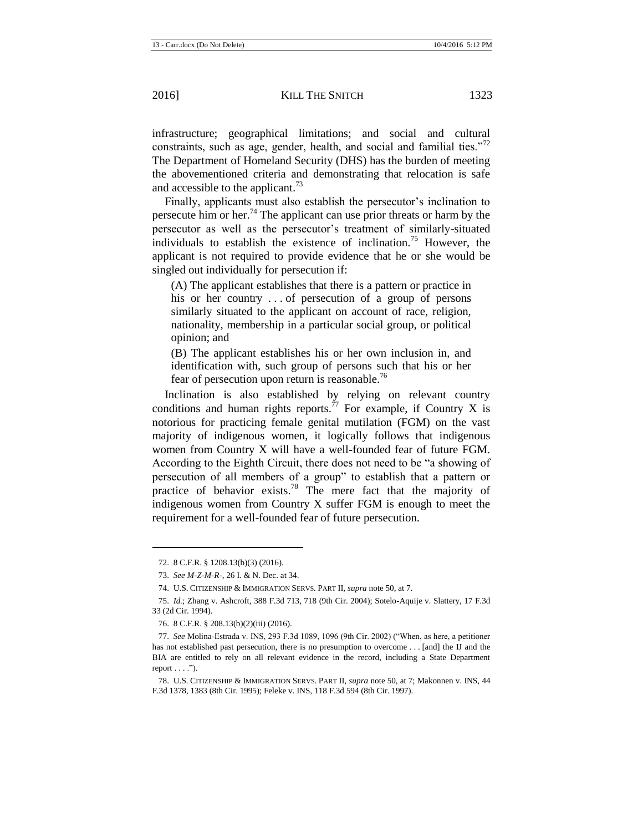infrastructure; geographical limitations; and social and cultural constraints, such as age, gender, health, and social and familial ties."<sup>72</sup> The Department of Homeland Security (DHS) has the burden of meeting the abovementioned criteria and demonstrating that relocation is safe and accessible to the applicant.<sup>73</sup>

Finally, applicants must also establish the persecutor's inclination to persecute him or her.<sup>74</sup> The applicant can use prior threats or harm by the persecutor as well as the persecutor's treatment of similarly-situated individuals to establish the existence of inclination.<sup>75</sup> However, the applicant is not required to provide evidence that he or she would be singled out individually for persecution if:

(A) The applicant establishes that there is a pattern or practice in his or her country ... of persecution of a group of persons similarly situated to the applicant on account of race, religion, nationality, membership in a particular social group, or political opinion; and

(B) The applicant establishes his or her own inclusion in, and identification with, such group of persons such that his or her fear of persecution upon return is reasonable.<sup>76</sup>

Inclination is also established by relying on relevant country conditions and human rights reports.<sup>77</sup> For example, if Country X is notorious for practicing female genital mutilation (FGM) on the vast majority of indigenous women, it logically follows that indigenous women from Country X will have a well-founded fear of future FGM. According to the Eighth Circuit, there does not need to be "a showing of persecution of all members of a group" to establish that a pattern or practice of behavior exists.<sup>78</sup> The mere fact that the majority of indigenous women from Country X suffer FGM is enough to meet the requirement for a well-founded fear of future persecution.

<sup>72.</sup> 8 C.F.R. § 1208.13(b)(3) (2016).

<sup>73.</sup> *See M-Z-M-R-*, 26 I. & N. Dec. at 34.

<sup>74.</sup> U.S. CITIZENSHIP & IMMIGRATION SERVS. PART II, *supra* not[e 50,](#page-8-0) at 7.

<sup>75.</sup> *Id.*; Zhang v. Ashcroft, 388 F.3d 713, 718 (9th Cir. 2004); Sotelo-Aquije v. Slattery, 17 F.3d 33 (2d Cir. 1994).

<sup>76.</sup> 8 C.F.R. § 208.13(b)(2)(iii) (2016).

<sup>77.</sup> *See* Molina-Estrada v. INS, 293 F.3d 1089, 1096 (9th Cir. 2002) ("When, as here, a petitioner has not established past persecution, there is no presumption to overcome . . . [and] the IJ and the BIA are entitled to rely on all relevant evidence in the record, including a State Department report  $\dots$ .").

<sup>78.</sup> U.S. CITIZENSHIP & IMMIGRATION SERVS. PART II, *supra* not[e 50,](#page-8-0) at 7; Makonnen v. INS, 44 F.3d 1378, 1383 (8th Cir. 1995); Feleke v. INS, 118 F.3d 594 (8th Cir. 1997).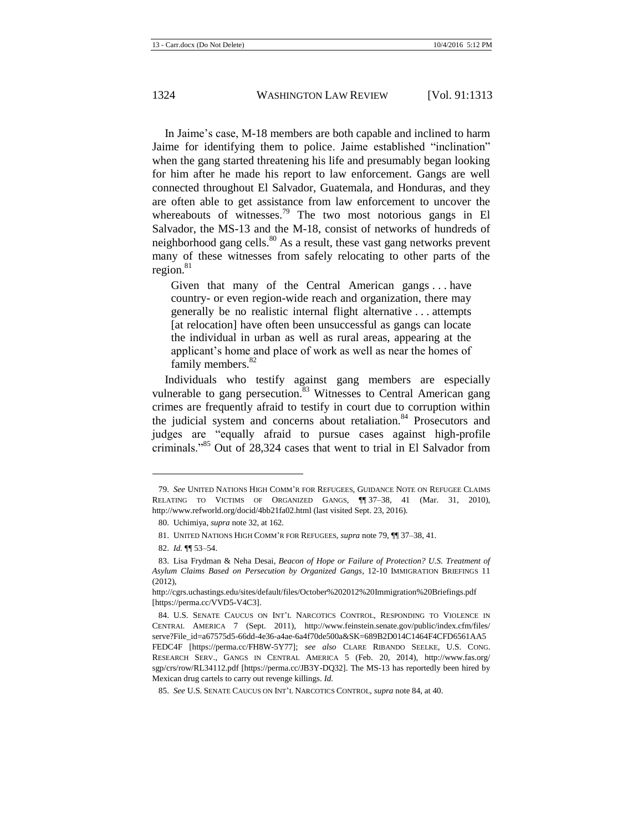In Jaime's case, M-18 members are both capable and inclined to harm Jaime for identifying them to police. Jaime established "inclination" when the gang started threatening his life and presumably began looking for him after he made his report to law enforcement. Gangs are well connected throughout El Salvador, Guatemala, and Honduras, and they are often able to get assistance from law enforcement to uncover the whereabouts of witnesses.<sup>79</sup> The two most notorious gangs in El Salvador, the MS-13 and the M-18, consist of networks of hundreds of neighborhood gang cells.<sup>80</sup> As a result, these vast gang networks prevent many of these witnesses from safely relocating to other parts of the region. $81$ 

<span id="page-12-3"></span><span id="page-12-0"></span>Given that many of the Central American gangs . . . have country- or even region-wide reach and organization, there may generally be no realistic internal flight alternative . . . attempts [at relocation] have often been unsuccessful as gangs can locate the individual in urban as well as rural areas, appearing at the applicant's home and place of work as well as near the homes of family members.<sup>82</sup>

<span id="page-12-2"></span><span id="page-12-1"></span>Individuals who testify against gang members are especially vulnerable to gang persecution.<sup>83</sup> Witnesses to Central American gang crimes are frequently afraid to testify in court due to corruption within the judicial system and concerns about retaliation.<sup>84</sup> Prosecutors and judges are "equally afraid to pursue cases against high-profile criminals."<sup>85</sup> Out of 28,324 cases that went to trial in El Salvador from

<sup>79.</sup> *See* UNITED NATIONS HIGH COMM'R FOR REFUGEES, GUIDANCE NOTE ON REFUGEE CLAIMS RELATING TO VICTIMS OF ORGANIZED GANGS, ¶¶ 37–38, 41 (Mar. 31, 2010), http://www.refworld.org/docid/4bb21fa02.html (last visited Sept. 23, 2016).

<sup>80.</sup> Uchimiya, *supra* not[e 32,](#page-5-0) at 162.

<sup>81.</sup> UNITED NATIONS HIGH COMM'R FOR REFUGEES, *supra* not[e 79,](#page-12-0) ¶¶ 37–38, 41.

<sup>82.</sup> *Id.* ¶¶ 53–54.

<sup>83.</sup> Lisa Frydman & Neha Desai, *Beacon of Hope or Failure of Protection? U.S. Treatment of Asylum Claims Based on Persecution by Organized Gangs*, 12-10 IMMIGRATION BRIEFINGS 11 (2012),

http://cgrs.uchastings.edu/sites/default/files/October%202012%20Immigration%20Briefings.pdf [https://perma.cc/VVD5-V4C3].

<sup>84.</sup> U.S. SENATE CAUCUS ON INT'L NARCOTICS CONTROL, RESPONDING TO VIOLENCE IN CENTRAL AMERICA 7 (Sept. 2011), http://www.feinstein.senate.gov/public/index.cfm/files/ serve?File\_id=a67575d5-66dd-4e36-a4ae-6a4f70de500a&SK=689B2D014C1464F4CFD6561AA5 FEDC4F [https://perma.cc/FH8W-5Y77]; *see also* CLARE RIBANDO SEELKE, U.S. CONG. RESEARCH SERV., GANGS IN CENTRAL AMERICA 5 (Feb. 20, 2014), http://www.fas.org/ sgp/crs/row/RL34112.pdf [https://perma.cc/JB3Y-DQ32]. The MS-13 has reportedly been hired by Mexican drug cartels to carry out revenge killings. *Id.*

<sup>85.</sup> *See* U.S. SENATE CAUCUS ON INT'L NARCOTICS CONTROL, *supra* not[e 84,](#page-12-1) at 40.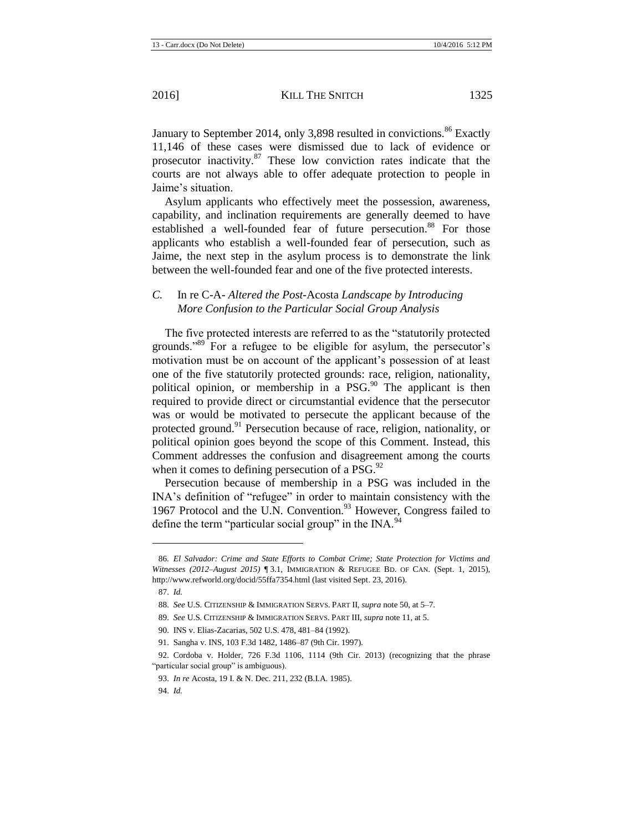<span id="page-13-0"></span>January to September 2014, only 3,898 resulted in convictions.<sup>86</sup> Exactly 11,146 of these cases were dismissed due to lack of evidence or prosecutor inactivity. $87$  These low conviction rates indicate that the courts are not always able to offer adequate protection to people in Jaime's situation.

Asylum applicants who effectively meet the possession, awareness, capability, and inclination requirements are generally deemed to have established a well-founded fear of future persecution.<sup>88</sup> For those applicants who establish a well-founded fear of persecution, such as Jaime, the next step in the asylum process is to demonstrate the link between the well-founded fear and one of the five protected interests.

## *C.* In re C-A- *Altered the Post-*Acosta *Landscape by Introducing More Confusion to the Particular Social Group Analysis*

The five protected interests are referred to as the "statutorily protected grounds."<sup>89</sup> For a refugee to be eligible for asylum, the persecutor's motivation must be on account of the applicant's possession of at least one of the five statutorily protected grounds: race, religion, nationality, political opinion, or membership in a PSG.<sup>90</sup> The applicant is then required to provide direct or circumstantial evidence that the persecutor was or would be motivated to persecute the applicant because of the protected ground.<sup>91</sup> Persecution because of race, religion, nationality, or political opinion goes beyond the scope of this Comment. Instead, this Comment addresses the confusion and disagreement among the courts when it comes to defining persecution of a  $PSG.<sup>92</sup>$ 

Persecution because of membership in a PSG was included in the INA's definition of "refugee" in order to maintain consistency with the 1967 Protocol and the U.N. Convention.<sup>93</sup> However, Congress failed to define the term "particular social group" in the  $INA$ . <sup>94</sup>

<sup>86</sup>*. El Salvador: Crime and State Efforts to Combat Crime; State Protection for Victims and Witnesses (2012–August 2015)* ¶ 3.1, IMMIGRATION & REFUGEE BD. OF CAN. (Sept. 1, 2015), http://www.refworld.org/docid/55ffa7354.html (last visited Sept. 23, 2016).

<sup>87.</sup> *Id.*

<sup>88.</sup> *See* U.S. CITIZENSHIP & IMMIGRATION SERVS. PART II, *supra* not[e 50,](#page-8-0) at 5–7.

<sup>89.</sup> *See* U.S. CITIZENSHIP & IMMIGRATION SERVS. PART III, *supra* not[e 11,](#page-2-0) at 5.

<sup>90.</sup> INS v. Elias-Zacarias, 502 U.S. 478, 481–84 (1992).

<sup>91.</sup> Sangha v. INS, 103 F.3d 1482, 1486–87 (9th Cir. 1997).

<sup>92.</sup> Cordoba v. Holder*,* 726 F.3d 1106, 1114 (9th Cir. 2013) (recognizing that the phrase "particular social group" is ambiguous).

<sup>93.</sup> *In re* Acosta, 19 I. & N. Dec. 211, 232 (B.I.A. 1985).

<sup>94.</sup> *Id.*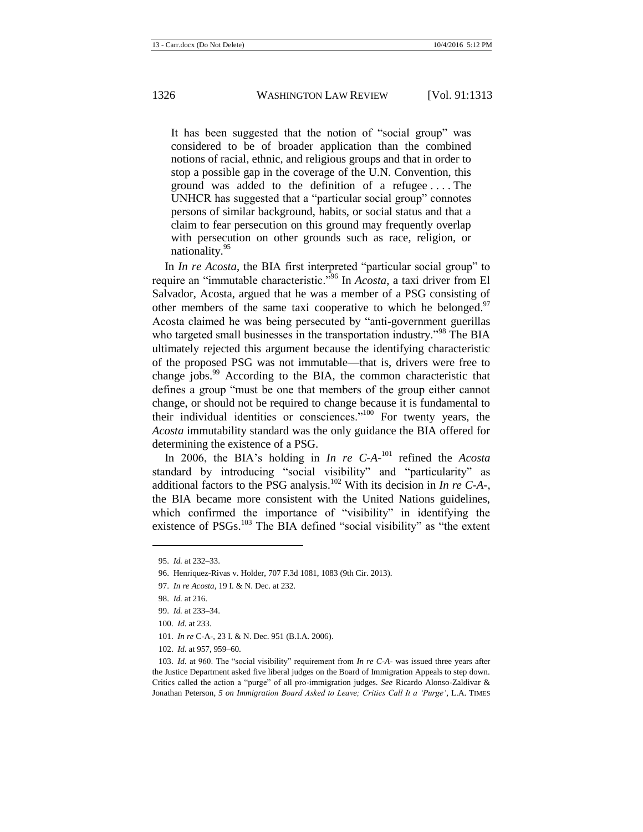It has been suggested that the notion of "social group" was considered to be of broader application than the combined notions of racial, ethnic, and religious groups and that in order to stop a possible gap in the coverage of the U.N. Convention, this ground was added to the definition of a refugee . . . . The UNHCR has suggested that a "particular social group" connotes persons of similar background, habits, or social status and that a claim to fear persecution on this ground may frequently overlap with persecution on other grounds such as race, religion, or nationality.<sup>95</sup>

In *In re Acosta*, the BIA first interpreted "particular social group" to require an "immutable characteristic."<sup>96</sup> In *Acosta*, a taxi driver from El Salvador, Acosta, argued that he was a member of a PSG consisting of other members of the same taxi cooperative to which he belonged.<sup>97</sup> Acosta claimed he was being persecuted by "anti-government guerillas who targeted small businesses in the transportation industry.<sup>"98</sup> The BIA ultimately rejected this argument because the identifying characteristic of the proposed PSG was not immutable—that is, drivers were free to change jobs.<sup>99</sup> According to the BIA, the common characteristic that defines a group "must be one that members of the group either cannot change, or should not be required to change because it is fundamental to their individual identities or consciences."<sup>100</sup> For twenty years, the *Acosta* immutability standard was the only guidance the BIA offered for determining the existence of a PSG.

In 2006, the BIA's holding in *In re C-A-*<sup>101</sup> refined the *Acosta* standard by introducing "social visibility" and "particularity" as additional factors to the PSG analysis.<sup>102</sup> With its decision in *In re C-A-*, the BIA became more consistent with the United Nations guidelines, which confirmed the importance of "visibility" in identifying the existence of PSGs.<sup>103</sup> The BIA defined "social visibility" as "the extent

<span id="page-14-0"></span><sup>95.</sup> *Id.* at 232–33.

<sup>96.</sup> Henriquez-Rivas v. Holder, 707 F.3d 1081, 1083 (9th Cir. 2013).

<sup>97.</sup> *In re Acosta*, 19 I. & N. Dec. at 232.

<sup>98.</sup> *Id.* at 216.

<sup>99.</sup> *Id.* at 233–34.

<sup>100.</sup> *Id.* at 233.

<sup>101.</sup> *In re* C-A-, 23 I. & N. Dec. 951 (B.I.A. 2006).

<sup>102.</sup> *Id.* at 957, 959–60.

<sup>103.</sup> *Id.* at 960. The "social visibility" requirement from *In re C-A-* was issued three years after the Justice Department asked five liberal judges on the Board of Immigration Appeals to step down. Critics called the action a "purge" of all pro-immigration judges. *See* Ricardo Alonso-Zaldivar & Jonathan Peterson, *5 on Immigration Board Asked to Leave; Critics Call It a 'Purge'*, L.A. TIMES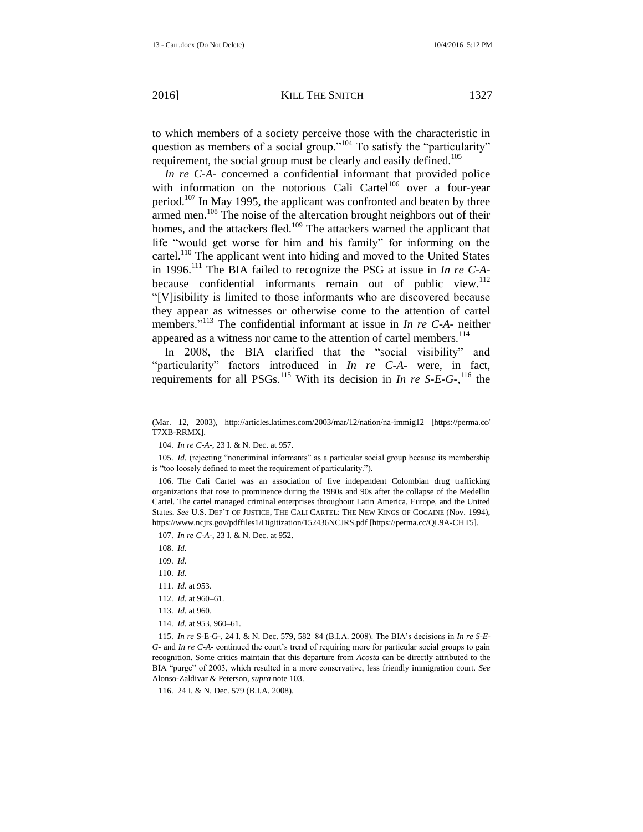to which members of a society perceive those with the characteristic in question as members of a social group."<sup>104</sup> To satisfy the "particularity" requirement, the social group must be clearly and easily defined.<sup>105</sup>

*In re C-A-* concerned a confidential informant that provided police with information on the notorious Cali Cartel<sup>106</sup> over a four-year period.<sup>107</sup> In May 1995, the applicant was confronted and beaten by three armed men.<sup>108</sup> The noise of the altercation brought neighbors out of their homes, and the attackers fled.<sup>109</sup> The attackers warned the applicant that life "would get worse for him and his family" for informing on the cartel.<sup>110</sup> The applicant went into hiding and moved to the United States in 1996.<sup>111</sup> The BIA failed to recognize the PSG at issue in *In re C-A*because confidential informants remain out of public view.<sup>112</sup> "[V]isibility is limited to those informants who are discovered because they appear as witnesses or otherwise come to the attention of cartel members."<sup>113</sup> The confidential informant at issue in *In re C-A-* neither appeared as a witness nor came to the attention of cartel members.<sup>114</sup>

In 2008, the BIA clarified that the "social visibility" and "particularity" factors introduced in *In re C-A-* were, in fact, requirements for all PSGs.<sup>115</sup> With its decision in *In re S-E-G-*,<sup>116</sup> the

l

114. *Id.* at 953, 960–61.

116. 24 I. & N. Dec. 579 (B.I.A. 2008).

<sup>(</sup>Mar. 12, 2003), http://articles.latimes.com/2003/mar/12/nation/na-immig12 [https://perma.cc/ T7XB-RRMX].

<sup>104.</sup> *In re C-A-*, 23 I. & N. Dec. at 957.

<sup>105.</sup> *Id.* (rejecting "noncriminal informants" as a particular social group because its membership is "too loosely defined to meet the requirement of particularity.").

<sup>106.</sup> The Cali Cartel was an association of five independent Colombian drug trafficking organizations that rose to prominence during the 1980s and 90s after the collapse of the Medellin Cartel. The cartel managed criminal enterprises throughout Latin America, Europe, and the United States. *See* U.S. DEP'T OF JUSTICE, THE CALI CARTEL: THE NEW KINGS OF COCAINE (Nov. 1994), https://www.ncjrs.gov/pdffiles1/Digitization/152436NCJRS.pdf [https://perma.cc/QL9A-CHT5].

<sup>107.</sup> *In re C-A-*, 23 I. & N. Dec. at 952.

<sup>108.</sup> *Id.*

<sup>109.</sup> *Id.*

<sup>110.</sup> *Id.*

<sup>111.</sup> *Id.* at 953.

<sup>112.</sup> *Id.* at 960–61.

<sup>113.</sup> *Id.* at 960.

<sup>115.</sup> *In re* S-E-G-, 24 I. & N. Dec. 579, 582–84 (B.I.A. 2008). The BIA's decisions in *In re S-E-G-* and *In re C-A-* continued the court's trend of requiring more for particular social groups to gain recognition. Some critics maintain that this departure from *Acosta* can be directly attributed to the BIA "purge" of 2003, which resulted in a more conservative, less friendly immigration court. *See*  Alonso-Zaldivar & Peterson, *supra* not[e 103.](#page-14-0)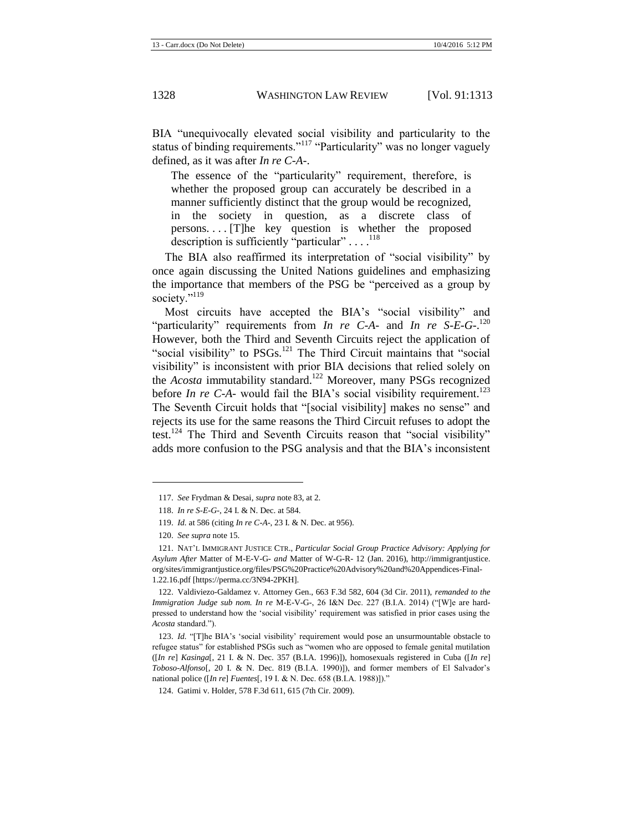BIA "unequivocally elevated social visibility and particularity to the status of binding requirements."<sup>117</sup> "Particularity" was no longer vaguely defined, as it was after *In re C-A-*.

The essence of the "particularity" requirement, therefore, is whether the proposed group can accurately be described in a manner sufficiently distinct that the group would be recognized, in the society in question, as a discrete class of persons. . . . [T]he key question is whether the proposed description is sufficiently "particular"  $\dots$ .<sup>118</sup>

The BIA also reaffirmed its interpretation of "social visibility" by once again discussing the United Nations guidelines and emphasizing the importance that members of the PSG be "perceived as a group by society."<sup>119</sup>

<span id="page-16-0"></span>Most circuits have accepted the BIA's "social visibility" and "particularity" requirements from *In re C-A-* and *In re S-E-G-*. 120 However, both the Third and Seventh Circuits reject the application of "social visibility" to PSGs.<sup>121</sup> The Third Circuit maintains that "social visibility" is inconsistent with prior BIA decisions that relied solely on the *Acosta* immutability standard.<sup>122</sup> Moreover, many PSGs recognized before *In re C-A-* would fail the BIA's social visibility requirement.<sup>123</sup> The Seventh Circuit holds that "[social visibility] makes no sense" and rejects its use for the same reasons the Third Circuit refuses to adopt the test.<sup>124</sup> The Third and Seventh Circuits reason that "social visibility" adds more confusion to the PSG analysis and that the BIA's inconsistent

l

122. Valdiviezo-Galdamez v. Attorney Gen., 663 F.3d 582, 604 (3d Cir. 2011), *remanded to the Immigration Judge sub nom. In re* M-E-V-G-, 26 I&N Dec. 227 (B.I.A. 2014) ("[W]e are hardpressed to understand how the 'social visibility' requirement was satisfied in prior cases using the *Acosta* standard.").

<sup>117.</sup> *See* Frydman & Desai, *supra* not[e 83,](#page-12-2) at 2.

<sup>118.</sup> *In re S-E-G-*, 24 I. & N. Dec. at 584.

<sup>119.</sup> *Id.* at 586 (citing *In re C-A-*, 23 I. & N. Dec. at 956).

<sup>120.</sup> *See supra* not[e 15.](#page-3-0)

<sup>121.</sup> NAT'L IMMIGRANT JUSTICE CTR., *Particular Social Group Practice Advisory: Applying for Asylum After* Matter of M-E-V-G- *and* Matter of W-G-R- 12 (Jan. 2016), http://immigrantjustice. org/sites/immigrantjustice.org/files/PSG%20Practice%20Advisory%20and%20Appendices-Final-1.22.16.pdf [https://perma.cc/3N94-2PKH].

<sup>123.</sup> *Id.* "[T]he BIA's 'social visibility' requirement would pose an unsurmountable obstacle to refugee status" for established PSGs such as "women who are opposed to female genital mutilation ([*In re*] *Kasinga*[, 21 I. & N. Dec. 357 (B.I.A. 1996)]), homosexuals registered in Cuba ([*In re*] *Toboso-Alfonso*[, 20 I. & N. Dec. 819 (B.I.A. 1990)]), and former members of El Salvador's national police ([*In re*] *Fuentes*[, 19 I. & N. Dec. 658 (B.I.A. 1988)])."

<sup>124.</sup> Gatimi v. Holder, 578 F.3d 611, 615 (7th Cir. 2009).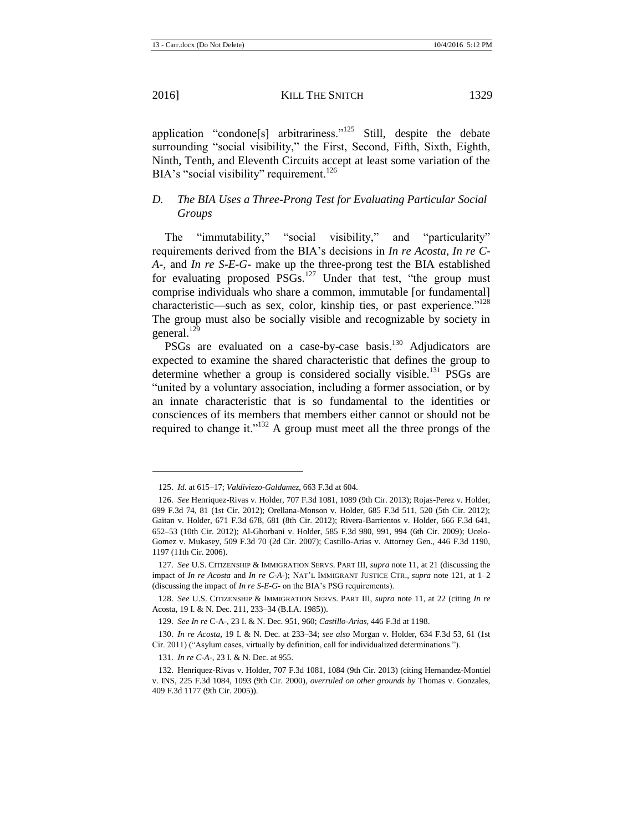$\overline{\phantom{a}}$ 

application "condone[s] arbitrariness."<sup>125</sup> Still, despite the debate surrounding "social visibility," the First, Second, Fifth, Sixth, Eighth, Ninth, Tenth, and Eleventh Circuits accept at least some variation of the BIA's "social visibility" requirement.<sup>126</sup>

## *D. The BIA Uses a Three-Prong Test for Evaluating Particular Social Groups*

The "immutability," "social visibility," and "particularity" requirements derived from the BIA's decisions in *In re Acosta*, *In re C-A-*, and *In re S-E-G-* make up the three-prong test the BIA established for evaluating proposed  $PSGs$ .<sup>127</sup> Under that test, "the group must comprise individuals who share a common, immutable [or fundamental] characteristic—such as sex, color, kinship ties, or past experience."<sup>128</sup> The group must also be socially visible and recognizable by society in general. $129$ 

PSGs are evaluated on a case-by-case basis.<sup>130</sup> Adjudicators are expected to examine the shared characteristic that defines the group to determine whether a group is considered socially visible.<sup>131</sup> PSGs are "united by a voluntary association, including a former association, or by an innate characteristic that is so fundamental to the identities or consciences of its members that members either cannot or should not be required to change it."<sup>132</sup> A group must meet all the three prongs of the

<sup>125.</sup> *Id.* at 615–17; *Valdiviezo-Galdamez*, 663 F.3d at 604.

<sup>126.</sup> *See* Henriquez-Rivas v. Holder, 707 F.3d 1081, 1089 (9th Cir. 2013); Rojas-Perez v. Holder, 699 F.3d 74, 81 (1st Cir. 2012); Orellana-Monson v. Holder, 685 F.3d 511, 520 (5th Cir. 2012); Gaitan v. Holder, 671 F.3d 678, 681 (8th Cir. 2012); Rivera-Barrientos v. Holder, 666 F.3d 641, 652–53 (10th Cir. 2012); Al-Ghorbani v. Holder, 585 F.3d 980, 991, 994 (6th Cir. 2009); Ucelo-Gomez v. Mukasey, 509 F.3d 70 (2d Cir. 2007); Castillo-Arias v. Attorney Gen., 446 F.3d 1190, 1197 (11th Cir. 2006).

<sup>127.</sup> *See* U.S. CITIZENSHIP & IMMIGRATION SERVS. PART III, *supra* not[e 11,](#page-2-0) at 21 (discussing the impact of *In re Acosta* and *In re C-A-*); NAT'L IMMIGRANT JUSTICE CTR., *supra* not[e 121,](#page-16-0) at 1–2 (discussing the impact of *In re S-E-G-* on the BIA's PSG requirements).

<sup>128.</sup> *See* U.S. CITIZENSHIP & IMMIGRATION SERVS. PART III, *supra* note [11,](#page-2-0) at 22 (citing *In re*  Acosta, 19 I. & N. Dec. 211, 233–34 (B.I.A. 1985)).

<sup>129.</sup> *See In re* C-A-, 23 I. & N. Dec. 951, 960; *Castillo-Arias*, 446 F.3d at 1198.

<sup>130.</sup> *In re Acosta*, 19 I. & N. Dec. at 233–34; *see also* Morgan v. Holder, 634 F.3d 53, 61 (1st Cir. 2011) ("Asylum cases, virtually by definition, call for individualized determinations.").

<sup>131.</sup> *In re C-A-*, 23 I. & N. Dec. at 955.

<sup>132.</sup> Henriquez-Rivas v. Holder, 707 F.3d 1081, 1084 (9th Cir. 2013) (citing Hernandez-Montiel v. INS, 225 F.3d 1084, 1093 (9th Cir. 2000), *overruled on other grounds by* Thomas v. Gonzales, 409 F.3d 1177 (9th Cir. 2005)).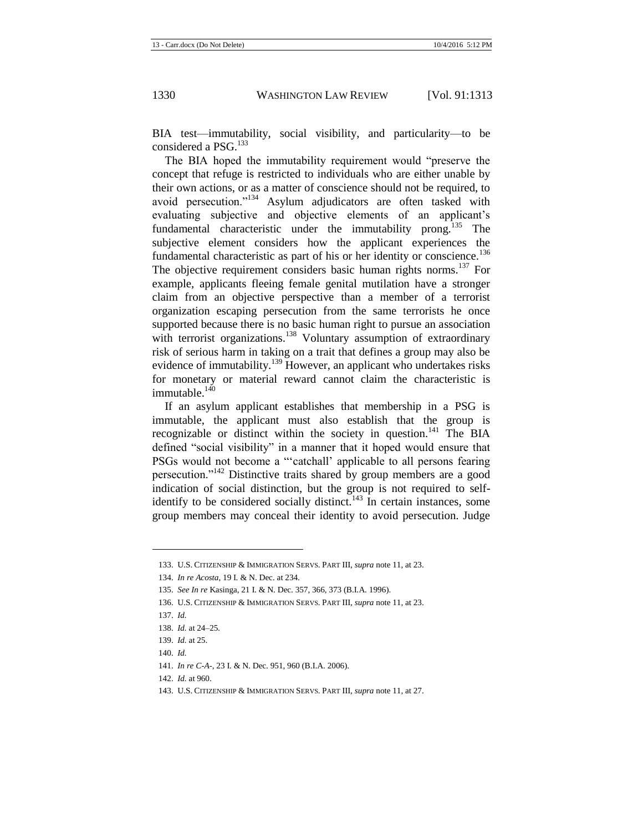BIA test—immutability, social visibility, and particularity—to be considered a  $PSG$ <sup>133</sup>

The BIA hoped the immutability requirement would "preserve the concept that refuge is restricted to individuals who are either unable by their own actions, or as a matter of conscience should not be required, to avoid persecution."<sup>134</sup> Asylum adjudicators are often tasked with evaluating subjective and objective elements of an applicant's fundamental characteristic under the immutability prong.<sup>135</sup> The subjective element considers how the applicant experiences the fundamental characteristic as part of his or her identity or conscience.<sup>136</sup> The objective requirement considers basic human rights norms.<sup>137</sup> For example, applicants fleeing female genital mutilation have a stronger claim from an objective perspective than a member of a terrorist organization escaping persecution from the same terrorists he once supported because there is no basic human right to pursue an association with terrorist organizations.<sup>138</sup> Voluntary assumption of extraordinary risk of serious harm in taking on a trait that defines a group may also be evidence of immutability.<sup>139</sup> However, an applicant who undertakes risks for monetary or material reward cannot claim the characteristic is immutable $140$ 

If an asylum applicant establishes that membership in a PSG is immutable, the applicant must also establish that the group is recognizable or distinct within the society in question.<sup>141</sup> The BIA defined "social visibility" in a manner that it hoped would ensure that PSGs would not become a "'catchall' applicable to all persons fearing persecution."<sup>142</sup> Distinctive traits shared by group members are a good indication of social distinction, but the group is not required to selfidentify to be considered socially distinct.<sup>143</sup> In certain instances, some group members may conceal their identity to avoid persecution. Judge

<sup>133.</sup> U.S. CITIZENSHIP & IMMIGRATION SERVS. PART III, *supra* not[e 11,](#page-2-0) at 23.

<sup>134.</sup> *In re Acosta*, 19 I. & N. Dec. at 234.

<sup>135.</sup> *See In re* Kasinga, 21 I. & N. Dec. 357, 366, 373 (B.I.A. 1996).

<sup>136.</sup> U.S. CITIZENSHIP & IMMIGRATION SERVS. PART III, *supra* not[e 11,](#page-2-0) at 23.

<sup>137.</sup> *Id.*

<sup>138.</sup> *Id.* at 24–25*.*

<sup>139.</sup> *Id.* at 25.

<sup>140.</sup> *Id.*

<sup>141.</sup> *In re C-A-*, 23 I. & N. Dec. 951, 960 (B.I.A. 2006).

<sup>142.</sup> *Id.* at 960.

<sup>143.</sup> U.S. CITIZENSHIP & IMMIGRATION SERVS. PART III, *supra* not[e 11,](#page-2-0) at 27.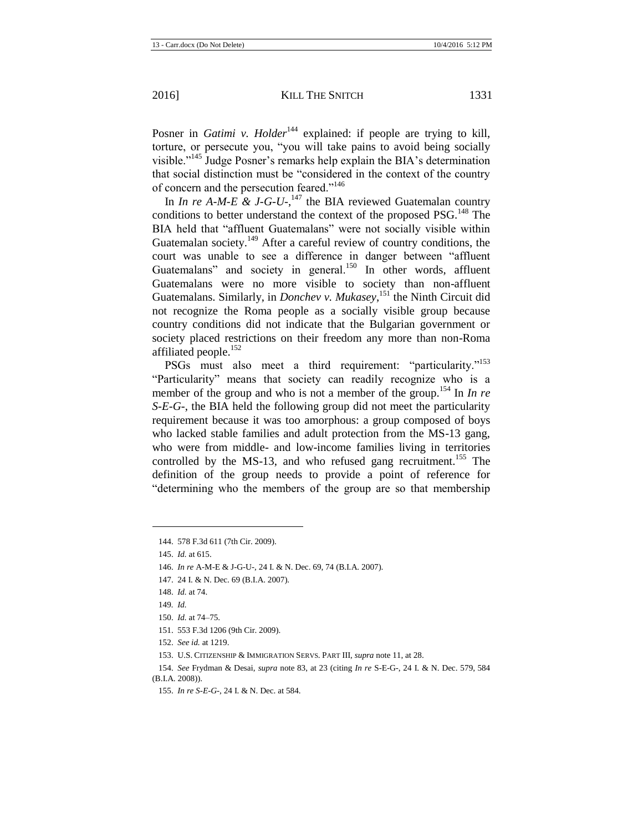Posner in *Gatimi v. Holder*<sup>144</sup> explained: if people are trying to kill, torture, or persecute you, "you will take pains to avoid being socially visible."<sup>145</sup> Judge Posner's remarks help explain the BIA's determination that social distinction must be "considered in the context of the country of concern and the persecution feared."<sup>146</sup>

In *In re A-M-E & J-G-U-*,<sup>147</sup> the BIA reviewed Guatemalan country conditions to better understand the context of the proposed PSG.<sup>148</sup> The BIA held that "affluent Guatemalans" were not socially visible within Guatemalan society.<sup>149</sup> After a careful review of country conditions, the court was unable to see a difference in danger between "affluent Guatemalans" and society in general.<sup>150</sup> In other words, affluent Guatemalans were no more visible to society than non-affluent Guatemalans. Similarly, in *Donchev v. Mukasey*, <sup>151</sup> the Ninth Circuit did not recognize the Roma people as a socially visible group because country conditions did not indicate that the Bulgarian government or society placed restrictions on their freedom any more than non-Roma affiliated people.<sup>152</sup>

PSGs must also meet a third requirement: "particularity."<sup>153</sup> "Particularity" means that society can readily recognize who is a member of the group and who is not a member of the group.<sup>154</sup> In *In re S-E-G-*, the BIA held the following group did not meet the particularity requirement because it was too amorphous: a group composed of boys who lacked stable families and adult protection from the MS-13 gang, who were from middle- and low-income families living in territories controlled by the MS-13, and who refused gang recruitment.<sup>155</sup> The definition of the group needs to provide a point of reference for "determining who the members of the group are so that membership

l

151. 553 F.3d 1206 (9th Cir. 2009).

<sup>144.</sup> 578 F.3d 611 (7th Cir. 2009).

<sup>145.</sup> *Id.* at 615.

<sup>146.</sup> *In re* A-M-E & J-G-U-, 24 I. & N. Dec. 69, 74 (B.I.A. 2007).

<sup>147.</sup> 24 I. & N. Dec. 69 (B.I.A. 2007).

<sup>148.</sup> *Id.* at 74.

<sup>149</sup>*. Id.* 

<sup>150.</sup> *Id.* at 74–75.

<sup>152.</sup> *See id.* at 1219.

<sup>153.</sup> U.S. CITIZENSHIP & IMMIGRATION SERVS. PART III*, supra* not[e 11,](#page-2-0) at 28.

<sup>154.</sup> *See* Frydman & Desai, *supra* note [83,](#page-12-2) at 23 (citing *In re* S-E-G-, 24 I. & N. Dec. 579, 584 (B.I.A. 2008)).

<sup>155.</sup> *In re S-E-G-*, 24 I. & N. Dec. at 584.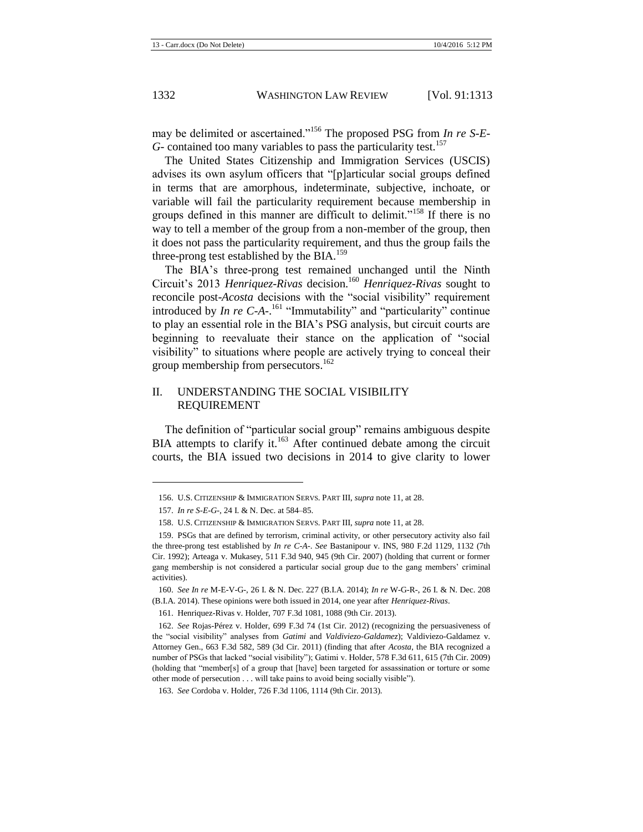may be delimited or ascertained."<sup>156</sup> The proposed PSG from *In re S-E-G*- contained too many variables to pass the particularity test.<sup>157</sup>

The United States Citizenship and Immigration Services (USCIS) advises its own asylum officers that "[p]articular social groups defined in terms that are amorphous, indeterminate, subjective, inchoate, or variable will fail the particularity requirement because membership in groups defined in this manner are difficult to delimit."<sup>158</sup> If there is no way to tell a member of the group from a non-member of the group, then it does not pass the particularity requirement, and thus the group fails the three-prong test established by the BIA.<sup>159</sup>

The BIA's three-prong test remained unchanged until the Ninth Circuit's 2013 *Henriquez-Rivas* decision.<sup>160</sup> *Henriquez-Rivas* sought to reconcile post-*Acosta* decisions with the "social visibility" requirement introduced by *In re C-A-*. <sup>161</sup> "Immutability" and "particularity" continue to play an essential role in the BIA's PSG analysis, but circuit courts are beginning to reevaluate their stance on the application of "social visibility" to situations where people are actively trying to conceal their group membership from persecutors.<sup>162</sup>

#### II. UNDERSTANDING THE SOCIAL VISIBILITY REQUIREMENT

The definition of "particular social group" remains ambiguous despite BIA attempts to clarify it.<sup>163</sup> After continued debate among the circuit courts, the BIA issued two decisions in 2014 to give clarity to lower

<sup>156.</sup> U.S. CITIZENSHIP & IMMIGRATION SERVS. PART III, *supra* not[e 11,](#page-2-0) at 28.

<sup>157.</sup> *In re S-E-G-*, 24 I. & N. Dec. at 584–85.

<sup>158.</sup> U.S. CITIZENSHIP & IMMIGRATION SERVS. PART III, *supra* not[e 11,](#page-2-0) at 28.

<sup>159.</sup> PSGs that are defined by terrorism, criminal activity, or other persecutory activity also fail the three-prong test established by *In re C-A-*. *See* Bastanipour v. INS, 980 F.2d 1129, 1132 (7th Cir. 1992); Arteaga v. Mukasey, 511 F.3d 940, 945 (9th Cir. 2007) (holding that current or former gang membership is not considered a particular social group due to the gang members' criminal activities).

<sup>160.</sup> *See In re* M-E-V-G-, 26 I. & N. Dec. 227 (B.I.A. 2014); *In re* W-G-R-, 26 I. & N. Dec. 208 (B.I.A. 2014). These opinions were both issued in 2014, one year after *Henriquez-Rivas*.

<sup>161.</sup> Henriquez-Rivas v. Holder, 707 F.3d 1081, 1088 (9th Cir. 2013).

<sup>162.</sup> *See* Rojas-Pérez v. Holder, 699 F.3d 74 (1st Cir. 2012) (recognizing the persuasiveness of the "social visibility" analyses from *Gatimi* and *Valdiviezo-Galdamez*); Valdiviezo-Galdamez v. Attorney Gen., 663 F.3d 582, 589 (3d Cir. 2011) (finding that after *Acosta*, the BIA recognized a number of PSGs that lacked "social visibility"); Gatimi v. Holder, 578 F.3d 611, 615 (7th Cir. 2009) (holding that "member[s] of a group that [have] been targeted for assassination or torture or some other mode of persecution . . . will take pains to avoid being socially visible").

<sup>163.</sup> *See* Cordoba v. Holder, 726 F.3d 1106, 1114 (9th Cir. 2013).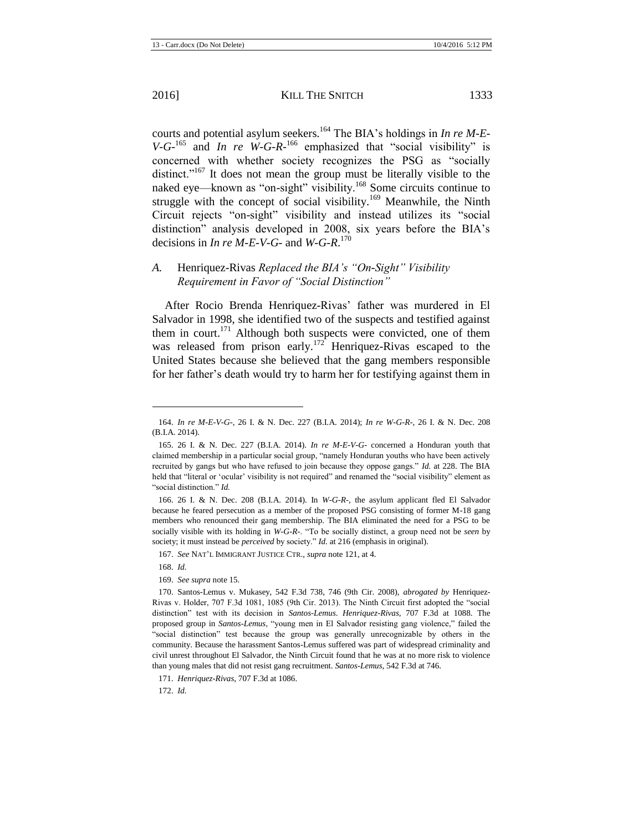courts and potential asylum seekers.<sup>164</sup> The BIA's holdings in *In re M-E-* $V-G$ -<sup>165</sup> and *In re W-G-R*-<sup>166</sup> emphasized that "social visibility" is concerned with whether society recognizes the PSG as "socially distinct."<sup>167</sup> It does not mean the group must be literally visible to the naked eye—known as "on-sight" visibility.<sup>168</sup> Some circuits continue to struggle with the concept of social visibility.<sup>169</sup> Meanwhile, the Ninth Circuit rejects "on-sight" visibility and instead utilizes its "social distinction" analysis developed in 2008, six years before the BIA's decisions in *In re M-E-V-G-* and *W-G-R*. 170

#### *A.* Henriquez-Rivas *Replaced the BIA's "On-Sight" Visibility Requirement in Favor of "Social Distinction"*

After Rocio Brenda Henriquez-Rivas' father was murdered in El Salvador in 1998, she identified two of the suspects and testified against them in court.<sup>171</sup> Although both suspects were convicted, one of them was released from prison early.<sup>172</sup> Henriquez-Rivas escaped to the United States because she believed that the gang members responsible for her father's death would try to harm her for testifying against them in

166. 26 I. & N. Dec. 208 (B.I.A. 2014). In *W-G-R-,* the asylum applicant fled El Salvador because he feared persecution as a member of the proposed PSG consisting of former M-18 gang members who renounced their gang membership. The BIA eliminated the need for a PSG to be socially visible with its holding in *W-G-R-*. "To be socially distinct, a group need not be *seen* by society; it must instead be *perceived* by society." *Id.* at 216 (emphasis in original).

l

172. *Id.*

<sup>164.</sup> *In re M-E-V-G-*, 26 I. & N. Dec. 227 (B.I.A. 2014); *In re W-G-R-*, 26 I. & N. Dec. 208 (B.I.A. 2014).

<sup>165.</sup> 26 I. & N. Dec. 227 (B.I.A. 2014). *In re M-E-V-G-* concerned a Honduran youth that claimed membership in a particular social group, "namely Honduran youths who have been actively recruited by gangs but who have refused to join because they oppose gangs." *Id.* at 228. The BIA held that "literal or 'ocular' visibility is not required" and renamed the "social visibility" element as "social distinction." *Id.*

<sup>167.</sup> *See* NAT'L IMMIGRANT JUSTICE CTR., *supra* not[e 121,](#page-16-0) at 4.

<sup>168.</sup> *Id.*

<sup>169.</sup> *See supra* not[e 15.](#page-3-0)

<sup>170.</sup> Santos-Lemus v. Mukasey, 542 F.3d 738, 746 (9th Cir. 2008), *abrogated by* Henriquez-Rivas v. Holder, 707 F.3d 1081, 1085 (9th Cir. 2013). The Ninth Circuit first adopted the "social distinction" test with its decision in *Santos-Lemus*. *Henriquez-Rivas*, 707 F.3d at 1088. The proposed group in *Santos-Lemus*, "young men in El Salvador resisting gang violence," failed the "social distinction" test because the group was generally unrecognizable by others in the community. Because the harassment Santos-Lemus suffered was part of widespread criminality and civil unrest throughout El Salvador, the Ninth Circuit found that he was at no more risk to violence than young males that did not resist gang recruitment. *Santos-Lemus*, 542 F.3d at 746.

<sup>171.</sup> *Henriquez-Rivas*, 707 F.3d at 1086.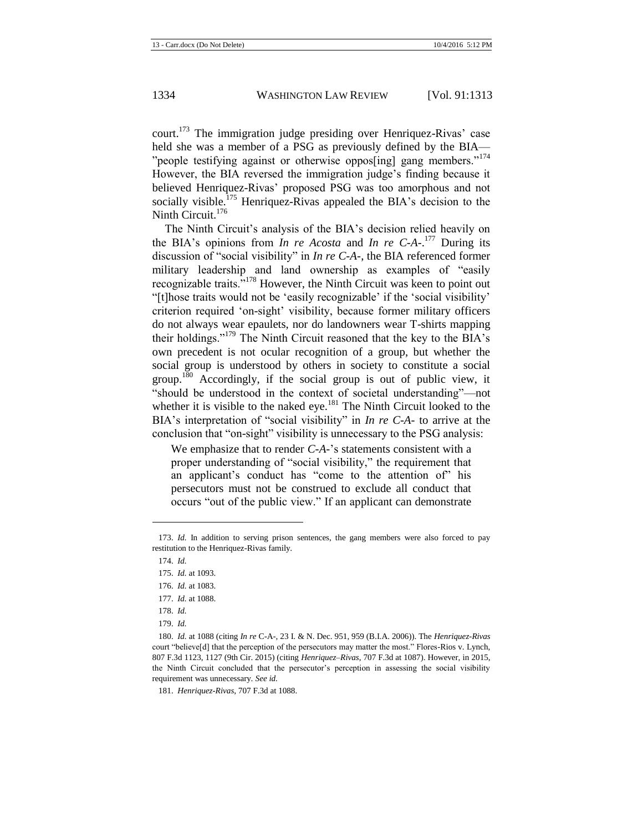court.<sup>173</sup> The immigration judge presiding over Henriquez-Rivas' case held she was a member of a PSG as previously defined by the BIA— "people testifying against or otherwise oppos[ing] gang members."<sup>174</sup> However, the BIA reversed the immigration judge's finding because it believed Henriquez-Rivas' proposed PSG was too amorphous and not socially visible.<sup>175</sup> Henriquez-Rivas appealed the BIA's decision to the Ninth Circuit. $176$ 

The Ninth Circuit's analysis of the BIA's decision relied heavily on the BIA's opinions from *In re Acosta* and *In re C-A-*. <sup>177</sup> During its discussion of "social visibility" in *In re C-A-*, the BIA referenced former military leadership and land ownership as examples of "easily recognizable traits."<sup>178</sup> However, the Ninth Circuit was keen to point out "[t]hose traits would not be 'easily recognizable' if the 'social visibility' criterion required 'on-sight' visibility, because former military officers do not always wear epaulets, nor do landowners wear T-shirts mapping their holdings."<sup>179</sup> The Ninth Circuit reasoned that the key to the BIA's own precedent is not ocular recognition of a group, but whether the social group is understood by others in society to constitute a social group.<sup>180</sup> Accordingly, if the social group is out of public view, it "should be understood in the context of societal understanding"—not whether it is visible to the naked eye.<sup>181</sup> The Ninth Circuit looked to the BIA's interpretation of "social visibility" in *In re C-A-* to arrive at the conclusion that "on-sight" visibility is unnecessary to the PSG analysis:

We emphasize that to render *C-A-*'s statements consistent with a proper understanding of "social visibility," the requirement that an applicant's conduct has "come to the attention of" his persecutors must not be construed to exclude all conduct that occurs "out of the public view." If an applicant can demonstrate

 $\overline{\phantom{a}}$ 

<sup>173.</sup> *Id.* In addition to serving prison sentences, the gang members were also forced to pay restitution to the Henriquez-Rivas family.

<sup>174.</sup> *Id.*

<sup>175.</sup> *Id.* at 1093.

<sup>176.</sup> *Id.* at 1083.

<sup>177.</sup> *Id.* at 1088.

<sup>178.</sup> *Id.*

<sup>179.</sup> *Id.*

<sup>180.</sup> *Id.* at 1088 (citing *In re* C-A-, 23 I. & N. Dec. 951, 959 (B.I.A. 2006)). The *Henriquez-Rivas*  court "believe[d] that the perception of the persecutors may matter the most." Flores-Rios v. Lynch, 807 F.3d 1123, 1127 (9th Cir. 2015) (citing *Henriquez–Rivas*, 707 F.3d at 1087). However, in 2015, the Ninth Circuit concluded that the persecutor's perception in assessing the social visibility requirement was unnecessary. *See id.*

<sup>181.</sup> *Henriquez-Rivas*, 707 F.3d at 1088.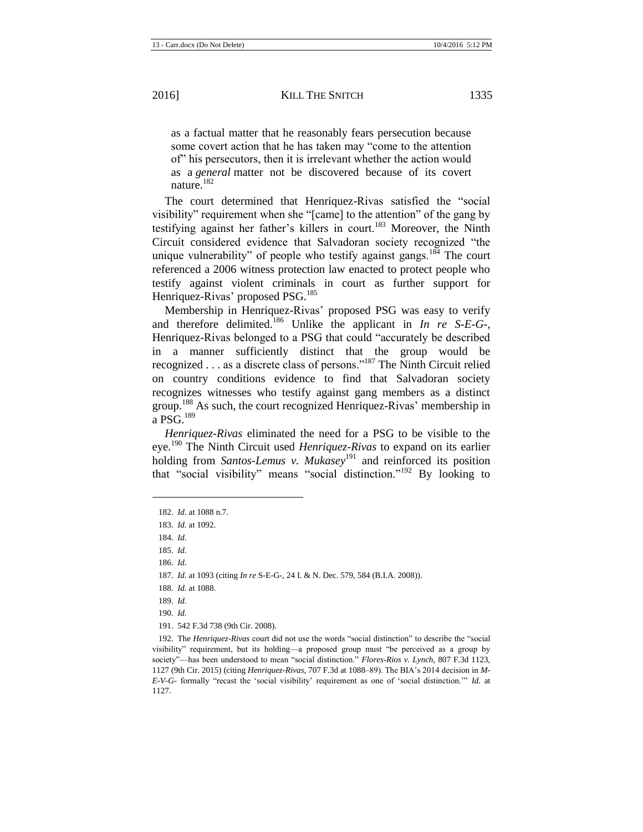as a factual matter that he reasonably fears persecution because some covert action that he has taken may "come to the attention of" his persecutors, then it is irrelevant whether the action would as a *general* matter not be discovered because of its covert nature.<sup>182</sup>

The court determined that Henriquez-Rivas satisfied the "social visibility" requirement when she "[came] to the attention" of the gang by testifying against her father's killers in court.<sup>183</sup> Moreover, the Ninth Circuit considered evidence that Salvadoran society recognized "the unique vulnerability" of people who testify against gangs.<sup>184</sup> The court referenced a 2006 witness protection law enacted to protect people who testify against violent criminals in court as further support for Henriquez-Rivas' proposed PSG.<sup>185</sup>

Membership in Henriquez-Rivas' proposed PSG was easy to verify and therefore delimited.<sup>186</sup> Unlike the applicant in *In re S-E-G-*, Henriquez-Rivas belonged to a PSG that could "accurately be described in a manner sufficiently distinct that the group would be recognized . . . as a discrete class of persons."<sup>187</sup> The Ninth Circuit relied on country conditions evidence to find that Salvadoran society recognizes witnesses who testify against gang members as a distinct group.<sup>188</sup> As such, the court recognized Henriquez-Rivas' membership in a PSG $^{189}$ 

*Henriquez-Rivas* eliminated the need for a PSG to be visible to the eye.<sup>190</sup> The Ninth Circuit used *Henriquez-Rivas* to expand on its earlier holding from *Santos-Lemus v. Mukasey*<sup>191</sup> and reinforced its position that "social visibility" means "social distinction."<sup>192</sup> By looking to

 $\overline{\phantom{a}}$ 

<span id="page-23-0"></span><sup>182.</sup> *Id.* at 1088 n.7.

<sup>183.</sup> *Id.* at 1092.

<sup>184.</sup> *Id.*

<sup>185.</sup> *Id.*

<sup>186.</sup> *Id.*

<sup>187.</sup> *Id.* at 1093 (citing *In re* S-E-G-, 24 I. & N. Dec. 579, 584 (B.I.A. 2008)).

<sup>188.</sup> *Id.* at 1088.

<sup>189.</sup> *Id.*

<sup>190.</sup> *Id.*

<sup>191.</sup> 542 F.3d 738 (9th Cir. 2008).

<sup>192.</sup> The *Henriquez-Rivas* court did not use the words "social distinction" to describe the "social visibility" requirement, but its holding—a proposed group must "be perceived as a group by society"—has been understood to mean "social distinction." *Flores-Rios v. Lynch*, 807 F.3d 1123, 1127 (9th Cir. 2015) (citing *Henriquez-Rivas*, 707 F.3d at 1088–89). The BIA's 2014 decision in *M-E-V-G-* formally "recast the 'social visibility' requirement as one of 'social distinction.'" *Id.* at 1127.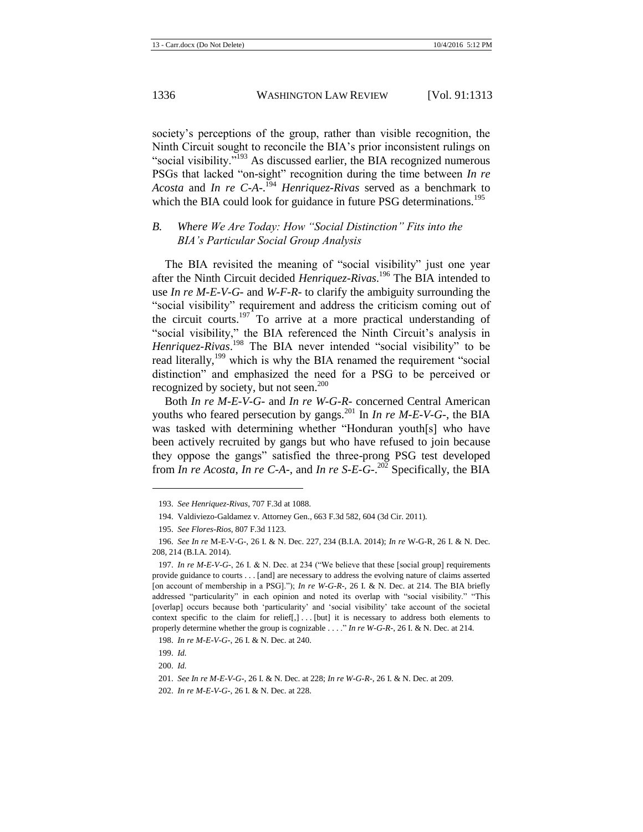society's perceptions of the group, rather than visible recognition, the Ninth Circuit sought to reconcile the BIA's prior inconsistent rulings on "social visibility."<sup>193</sup> As discussed earlier, the BIA recognized numerous PSGs that lacked "on-sight" recognition during the time between *In re Acosta* and *In re C-A-*. <sup>194</sup> *Henriquez-Rivas* served as a benchmark to which the BIA could look for guidance in future PSG determinations.<sup>195</sup>

#### *B. Where We Are Today: How "Social Distinction" Fits into the BIA's Particular Social Group Analysis*

The BIA revisited the meaning of "social visibility" just one year after the Ninth Circuit decided *Henriquez-Rivas*. <sup>196</sup> The BIA intended to use *In re M-E-V-G-* and *W-F-R-* to clarify the ambiguity surrounding the "social visibility" requirement and address the criticism coming out of the circuit courts.<sup>197</sup> To arrive at a more practical understanding of "social visibility," the BIA referenced the Ninth Circuit's analysis in Henriquez-Rivas.<sup>198</sup> The BIA never intended "social visibility" to be read literally,<sup>199</sup> which is why the BIA renamed the requirement "social" distinction" and emphasized the need for a PSG to be perceived or recognized by society, but not seen.<sup>200</sup>

Both *In re M-E-V-G-* and *In re W-G-R-* concerned Central American youths who feared persecution by gangs.<sup>201</sup> In *In re M-E-V-G-*, the BIA was tasked with determining whether "Honduran youth[s] who have been actively recruited by gangs but who have refused to join because they oppose the gangs" satisfied the three-prong PSG test developed from *In re Acosta*, *In re C-A-*, and *In re S-E-G-*. <sup>202</sup> Specifically, the BIA

<sup>193.</sup> *See Henriquez-Rivas*, 707 F.3d at 1088.

<sup>194.</sup> Valdiviezo-Galdamez v. Attorney Gen., 663 F.3d 582, 604 (3d Cir. 2011).

<sup>195.</sup> *See Flores-Rios*, 807 F.3d 1123.

<sup>196.</sup> *See In re* M-E-V-G-, 26 I. & N. Dec. 227, 234 (B.I.A. 2014); *In re* W-G-R, 26 I. & N. Dec. 208, 214 (B.I.A. 2014).

<sup>197.</sup> *In re M-E-V-G-*, 26 I. & N. Dec. at 234 ("We believe that these [social group] requirements provide guidance to courts . . . [and] are necessary to address the evolving nature of claims asserted [on account of membership in a PSG]."); *In re W-G-R-*, 26 I. & N. Dec. at 214. The BIA briefly addressed "particularity" in each opinion and noted its overlap with "social visibility." "This [overlap] occurs because both 'particularity' and 'social visibility' take account of the societal context specific to the claim for relief[,] . . . [but] it is necessary to address both elements to properly determine whether the group is cognizable . . . ." *In re W-G-R-*, 26 I. & N. Dec. at 214*.*

<sup>198.</sup> *In re M-E-V-G-*, 26 I. & N. Dec. at 240.

<sup>199.</sup> *Id.* 

<sup>200.</sup> *Id.*

<sup>201.</sup> *See In re M-E-V-G-*, 26 I. & N. Dec. at 228; *In re W-G-R-*, 26 I. & N. Dec. at 209.

<sup>202.</sup> *In re M-E-V-G-*, 26 I. & N. Dec. at 228.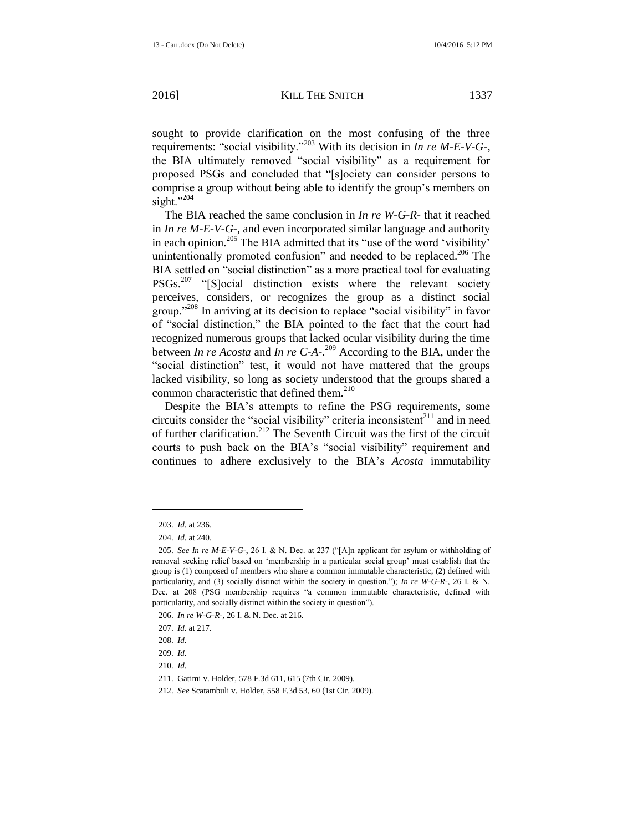sought to provide clarification on the most confusing of the three requirements: "social visibility."<sup>203</sup> With its decision in *In re M-E-V-G-*, the BIA ultimately removed "social visibility" as a requirement for proposed PSGs and concluded that "[s]ociety can consider persons to comprise a group without being able to identify the group's members on sight." $^{204}$ 

The BIA reached the same conclusion in *In re W-G-R-* that it reached in *In re M-E-V-G-*, and even incorporated similar language and authority in each opinion.<sup>205</sup> The BIA admitted that its "use of the word 'visibility' unintentionally promoted confusion" and needed to be replaced.<sup>206</sup> The BIA settled on "social distinction" as a more practical tool for evaluating PSGs.<sup>207</sup> "[S]ocial distinction exists where the relevant society perceives, considers, or recognizes the group as a distinct social group."<sup>208</sup> In arriving at its decision to replace "social visibility" in favor of "social distinction," the BIA pointed to the fact that the court had recognized numerous groups that lacked ocular visibility during the time between *In re Acosta* and *In re C-A-*. <sup>209</sup> According to the BIA, under the "social distinction" test, it would not have mattered that the groups lacked visibility, so long as society understood that the groups shared a common characteristic that defined them. $210$ 

Despite the BIA's attempts to refine the PSG requirements, some circuits consider the "social visibility" criteria inconsistent $^{211}$  and in need of further clarification.<sup>212</sup> The Seventh Circuit was the first of the circuit courts to push back on the BIA's "social visibility" requirement and continues to adhere exclusively to the BIA's *Acosta* immutability

 $\overline{\phantom{a}}$ 

<sup>203.</sup> *Id.* at 236.

<sup>204.</sup> *Id.* at 240.

<sup>205.</sup> *See In re M-E-V-G-*, 26 I. & N. Dec. at 237 ("[A]n applicant for asylum or withholding of removal seeking relief based on 'membership in a particular social group' must establish that the group is (1) composed of members who share a common immutable characteristic, (2) defined with particularity, and (3) socially distinct within the society in question."); *In re W-G-R-*, 26 I. & N. Dec. at 208 (PSG membership requires "a common immutable characteristic, defined with particularity, and socially distinct within the society in question").

<sup>206.</sup> *In re W-G-R-*, 26 I. & N. Dec. at 216.

<sup>207.</sup> *Id.* at 217.

<sup>208.</sup> *Id.*

<sup>209.</sup> *Id.*

<sup>210.</sup> *Id.*

<sup>211.</sup> Gatimi v. Holder, 578 F.3d 611, 615 (7th Cir. 2009).

<sup>212.</sup> *See* Scatambuli v. Holder, 558 F.3d 53, 60 (1st Cir. 2009).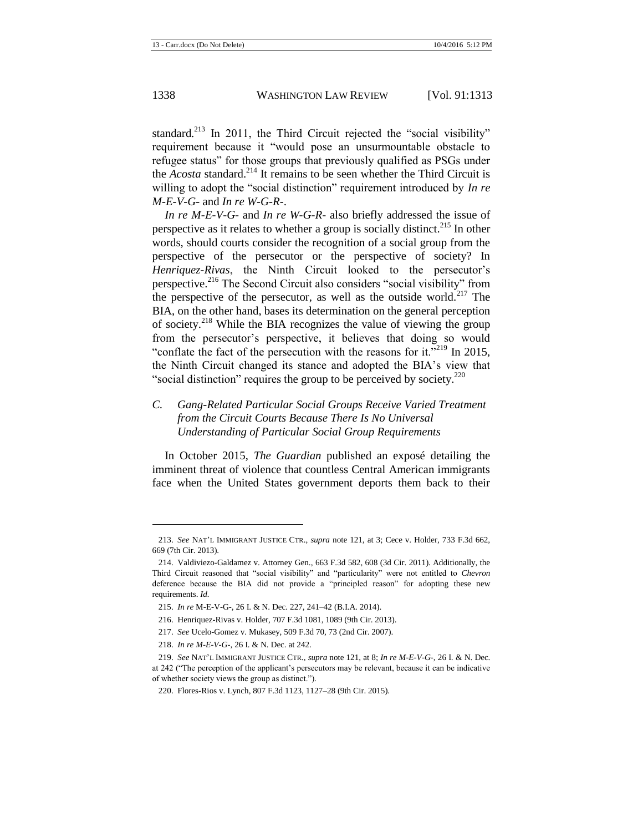standard.<sup>213</sup> In 2011, the Third Circuit rejected the "social visibility" requirement because it "would pose an unsurmountable obstacle to refugee status" for those groups that previously qualified as PSGs under the *Acosta* standard.<sup>214</sup> It remains to be seen whether the Third Circuit is willing to adopt the "social distinction" requirement introduced by *In re M-E-V-G-* and *In re W-G-R-*.

*In re M-E-V-G-* and *In re W-G-R-* also briefly addressed the issue of perspective as it relates to whether a group is socially distinct.<sup>215</sup> In other words, should courts consider the recognition of a social group from the perspective of the persecutor or the perspective of society? In *Henriquez-Rivas*, the Ninth Circuit looked to the persecutor's perspective.<sup>216</sup> The Second Circuit also considers "social visibility" from the perspective of the persecutor, as well as the outside world.<sup>217</sup> The BIA, on the other hand, bases its determination on the general perception of society.<sup>218</sup> While the BIA recognizes the value of viewing the group from the persecutor's perspective, it believes that doing so would "conflate the fact of the persecution with the reasons for it."<sup>219</sup> In 2015, the Ninth Circuit changed its stance and adopted the BIA's view that "social distinction" requires the group to be perceived by society. $220$ 

## *C. Gang-Related Particular Social Groups Receive Varied Treatment from the Circuit Courts Because There Is No Universal Understanding of Particular Social Group Requirements*

In October 2015, *The Guardian* published an exposé detailing the imminent threat of violence that countless Central American immigrants face when the United States government deports them back to their

<sup>213.</sup> *See* NAT'L IMMIGRANT JUSTICE CTR., *supra* note [121,](#page-16-0) at 3; Cece v. Holder, 733 F.3d 662, 669 (7th Cir. 2013).

<sup>214.</sup> Valdiviezo-Galdamez v. Attorney Gen., 663 F.3d 582, 608 (3d Cir. 2011). Additionally, the Third Circuit reasoned that "social visibility" and "particularity" were not entitled to *Chevron* deference because the BIA did not provide a "principled reason" for adopting these new requirements. *Id.*

<sup>215.</sup> *In re* M-E-V-G-, 26 I. & N. Dec. 227, 241–42 (B.I.A. 2014).

<sup>216.</sup> Henriquez-Rivas v. Holder, 707 F.3d 1081, 1089 (9th Cir. 2013).

<sup>217.</sup> *See* Ucelo-Gomez v. Mukasey, 509 F.3d 70, 73 (2nd Cir. 2007).

<sup>218.</sup> *In re M-E-V-G-*, 26 I. & N. Dec. at 242.

<sup>219.</sup> *See* NAT'L IMMIGRANT JUSTICE CTR., *supra* not[e 121,](#page-16-0) at 8; *In re M-E-V-G-*, 26 I. & N. Dec. at 242 ("The perception of the applicant's persecutors may be relevant, because it can be indicative of whether society views the group as distinct.").

<sup>220.</sup> Flores-Rios v. Lynch, 807 F.3d 1123, 1127–28 (9th Cir. 2015).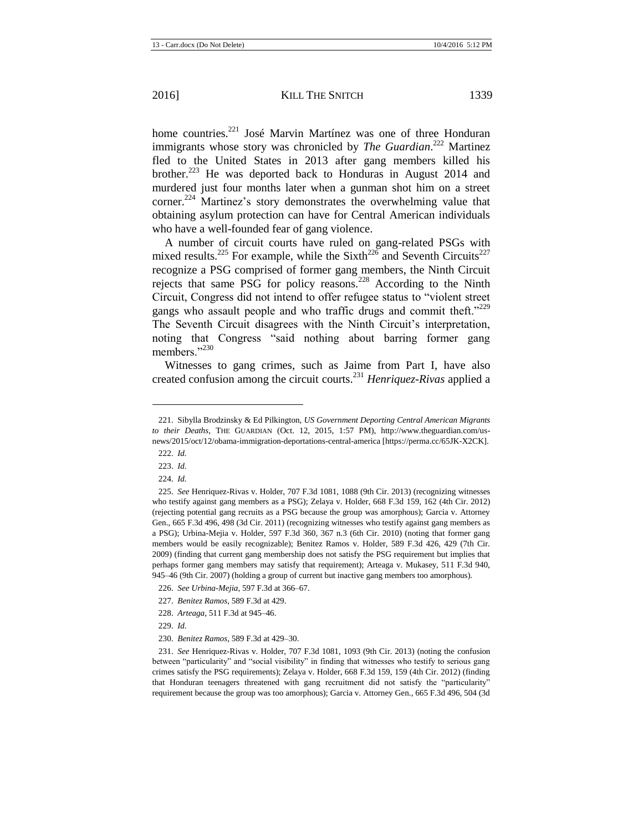home countries.<sup>221</sup> José Marvin Martínez was one of three Honduran immigrants whose story was chronicled by *The Guardian*.<sup>222</sup> Martinez fled to the United States in 2013 after gang members killed his brother.<sup>223</sup> He was deported back to Honduras in August 2014 and murdered just four months later when a gunman shot him on a street corner.<sup>224</sup> Martinez's story demonstrates the overwhelming value that obtaining asylum protection can have for Central American individuals who have a well-founded fear of gang violence.

A number of circuit courts have ruled on gang-related PSGs with mixed results.<sup>225</sup> For example, while the Sixth<sup>226</sup> and Seventh Circuits<sup>227</sup> recognize a PSG comprised of former gang members, the Ninth Circuit rejects that same PSG for policy reasons.<sup>228</sup> According to the Ninth Circuit, Congress did not intend to offer refugee status to "violent street gangs who assault people and who traffic drugs and commit theft."<sup>229</sup> The Seventh Circuit disagrees with the Ninth Circuit's interpretation, noting that Congress "said nothing about barring former gang members."<sup>230</sup>

Witnesses to gang crimes, such as Jaime from Part I, have also created confusion among the circuit courts.<sup>231</sup> *Henriquez-Rivas* applied a

l

223. *Id.*

<sup>221.</sup> Sibylla Brodzinsky & Ed Pilkington, *US Government Deporting Central American Migrants to their Deaths*, THE GUARDIAN (Oct. 12, 2015, 1:57 PM), http://www.theguardian.com/usnews/2015/oct/12/obama-immigration-deportations-central-america [https://perma.cc/65JK-X2CK].

<sup>222.</sup> *Id.*

<sup>224.</sup> *Id.*

<sup>225.</sup> *See* Henriquez-Rivas v. Holder, 707 F.3d 1081, 1088 (9th Cir. 2013) (recognizing witnesses who testify against gang members as a PSG); Zelaya v. Holder, 668 F.3d 159, 162 (4th Cir. 2012) (rejecting potential gang recruits as a PSG because the group was amorphous); Garcia v. Attorney Gen., 665 F.3d 496, 498 (3d Cir. 2011) (recognizing witnesses who testify against gang members as a PSG); Urbina-Mejia v. Holder, 597 F.3d 360, 367 n.3 (6th Cir. 2010) (noting that former gang members would be easily recognizable); Benitez Ramos v. Holder, 589 F.3d 426, 429 (7th Cir. 2009) (finding that current gang membership does not satisfy the PSG requirement but implies that perhaps former gang members may satisfy that requirement); Arteaga v. Mukasey, 511 F.3d 940, 945–46 (9th Cir. 2007) (holding a group of current but inactive gang members too amorphous).

<sup>226.</sup> *See Urbina-Mejia*, 597 F.3d at 366–67.

<sup>227.</sup> *Benitez Ramos*, 589 F.3d at 429.

<sup>228.</sup> *Arteaga*, 511 F.3d at 945–46.

<sup>229.</sup> *Id.*

<sup>230.</sup> *Benitez Ramos*, 589 F.3d at 429–30.

<sup>231.</sup> *See* Henriquez-Rivas v. Holder, 707 F.3d 1081, 1093 (9th Cir. 2013) (noting the confusion between "particularity" and "social visibility" in finding that witnesses who testify to serious gang crimes satisfy the PSG requirements); Zelaya v. Holder, 668 F.3d 159, 159 (4th Cir. 2012) (finding that Honduran teenagers threatened with gang recruitment did not satisfy the "particularity" requirement because the group was too amorphous); Garcia v. Attorney Gen., 665 F.3d 496, 504 (3d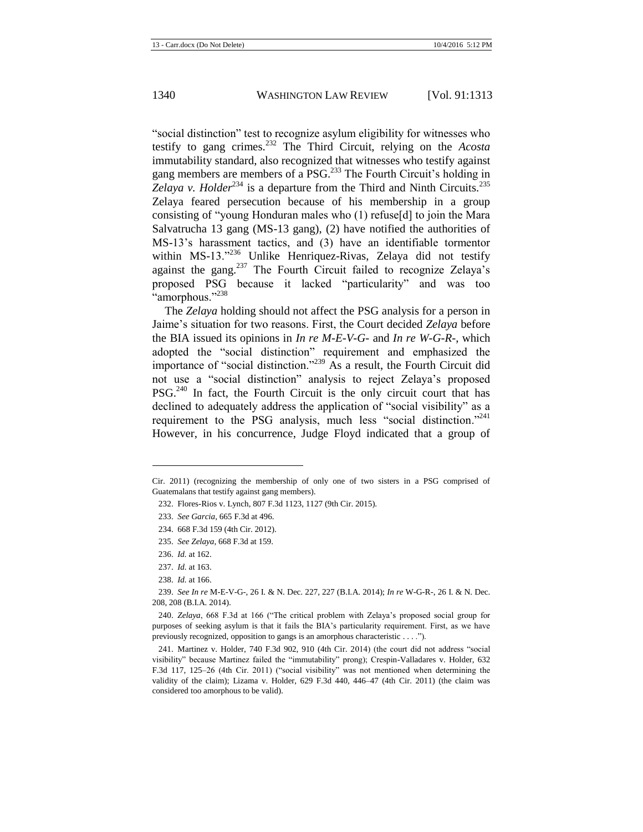"social distinction" test to recognize asylum eligibility for witnesses who testify to gang crimes.<sup>232</sup> The Third Circuit, relying on the *Acosta*  immutability standard, also recognized that witnesses who testify against gang members are members of a PSG.<sup>233</sup> The Fourth Circuit's holding in *Zelaya v. Holder*<sup>234</sup> is a departure from the Third and Ninth Circuits.<sup>235</sup> Zelaya feared persecution because of his membership in a group consisting of "young Honduran males who (1) refuse[d] to join the Mara Salvatrucha 13 gang (MS-13 gang), (2) have notified the authorities of MS-13's harassment tactics, and (3) have an identifiable tormentor within MS-13."<sup>236</sup> Unlike Henriquez-Rivas, Zelaya did not testify against the gang. $237$  The Fourth Circuit failed to recognize Zelaya's proposed PSG because it lacked "particularity" and was too "amorphous."<sup>238</sup>

The *Zelaya* holding should not affect the PSG analysis for a person in Jaime's situation for two reasons. First, the Court decided *Zelaya* before the BIA issued its opinions in *In re M-E-V-G-* and *In re W-G-R-*, which adopted the "social distinction" requirement and emphasized the importance of "social distinction."<sup>239</sup> As a result, the Fourth Circuit did not use a "social distinction" analysis to reject Zelaya's proposed PSG.<sup>240</sup> In fact, the Fourth Circuit is the only circuit court that has declined to adequately address the application of "social visibility" as a requirement to the PSG analysis, much less "social distinction."<sup>241</sup> However, in his concurrence, Judge Floyd indicated that a group of

 $\overline{\phantom{a}}$ 

Cir. 2011) (recognizing the membership of only one of two sisters in a PSG comprised of Guatemalans that testify against gang members).

<sup>232.</sup> Flores-Rios v. Lynch, 807 F.3d 1123, 1127 (9th Cir. 2015).

<sup>233.</sup> *See Garcia*, 665 F.3d at 496.

<sup>234.</sup> 668 F.3d 159 (4th Cir. 2012).

<sup>235.</sup> *See Zelaya*, 668 F.3d at 159.

<sup>236.</sup> *Id.* at 162.

<sup>237.</sup> *Id.* at 163.

<sup>238.</sup> *Id.* at 166.

<sup>239.</sup> *See In re* M-E-V-G-, 26 I. & N. Dec. 227, 227 (B.I.A. 2014); *In re* W-G-R-, 26 I. & N. Dec. 208, 208 (B.I.A. 2014).

<sup>240.</sup> *Zelaya*, 668 F.3d at 166 ("The critical problem with Zelaya's proposed social group for purposes of seeking asylum is that it fails the BIA's particularity requirement. First, as we have previously recognized, opposition to gangs is an amorphous characteristic . . . .").

<sup>241.</sup> Martinez v. Holder, 740 F.3d 902, 910 (4th Cir. 2014) (the court did not address "social visibility" because Martinez failed the "immutability" prong); Crespin-Valladares v. Holder, 632 F.3d 117, 125–26 (4th Cir. 2011) ("social visibility" was not mentioned when determining the validity of the claim); Lizama v. Holder, 629 F.3d 440, 446–47 (4th Cir. 2011) (the claim was considered too amorphous to be valid).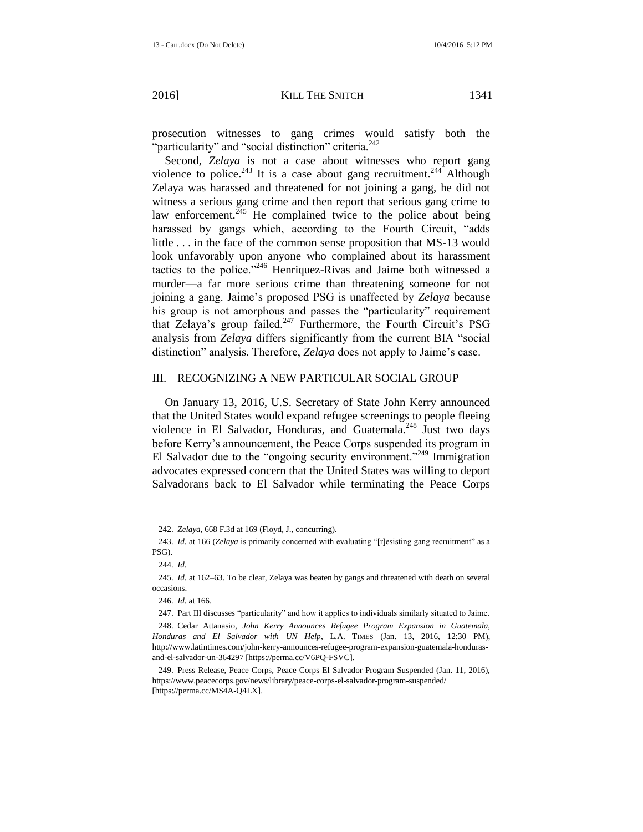prosecution witnesses to gang crimes would satisfy both the "particularity" and "social distinction" criteria. $^{242}$ 

Second, *Zelaya* is not a case about witnesses who report gang violence to police.<sup>243</sup> It is a case about gang recruitment.<sup>244</sup> Although Zelaya was harassed and threatened for not joining a gang, he did not witness a serious gang crime and then report that serious gang crime to law enforcement.<sup>245</sup> He complained twice to the police about being harassed by gangs which, according to the Fourth Circuit, "adds little . . . in the face of the common sense proposition that MS-13 would look unfavorably upon anyone who complained about its harassment tactics to the police."<sup>246</sup> Henriquez-Rivas and Jaime both witnessed a murder—a far more serious crime than threatening someone for not joining a gang. Jaime's proposed PSG is unaffected by *Zelaya* because his group is not amorphous and passes the "particularity" requirement that Zelaya's group failed. $247$  Furthermore, the Fourth Circuit's PSG analysis from *Zelaya* differs significantly from the current BIA "social distinction" analysis. Therefore, *Zelaya* does not apply to Jaime's case.

#### III. RECOGNIZING A NEW PARTICULAR SOCIAL GROUP

On January 13, 2016, U.S. Secretary of State John Kerry announced that the United States would expand refugee screenings to people fleeing violence in El Salvador, Honduras, and Guatemala.<sup>248</sup> Just two days before Kerry's announcement, the Peace Corps suspended its program in El Salvador due to the "ongoing security environment."<sup>249</sup> Immigration advocates expressed concern that the United States was willing to deport Salvadorans back to El Salvador while terminating the Peace Corps

<sup>242.</sup> *Zelaya*, 668 F.3d at 169 (Floyd, J., concurring).

<sup>243.</sup> *Id.* at 166 (*Zelaya* is primarily concerned with evaluating "[r]esisting gang recruitment" as a PSG).

<sup>244.</sup> *Id.*

<sup>245.</sup> *Id.* at 162–63. To be clear, Zelaya was beaten by gangs and threatened with death on several occasions.

<sup>246.</sup> *Id.* at 166.

<sup>247.</sup> Part III discusses "particularity" and how it applies to individuals similarly situated to Jaime.

<sup>248.</sup> Cedar Attanasio, *John Kerry Announces Refugee Program Expansion in Guatemala, Honduras and El Salvador with UN Help*, L.A. TIMES (Jan. 13, 2016, 12:30 PM), http://www.latintimes.com/john-kerry-announces-refugee-program-expansion-guatemala-hondurasand-el-salvador-un-364297 [https://perma.cc/V6PQ-FSVC].

<sup>249.</sup> Press Release, Peace Corps, Peace Corps El Salvador Program Suspended (Jan. 11, 2016), https://www.peacecorps.gov/news/library/peace-corps-el-salvador-program-suspended/ [https://perma.cc/MS4A-Q4LX].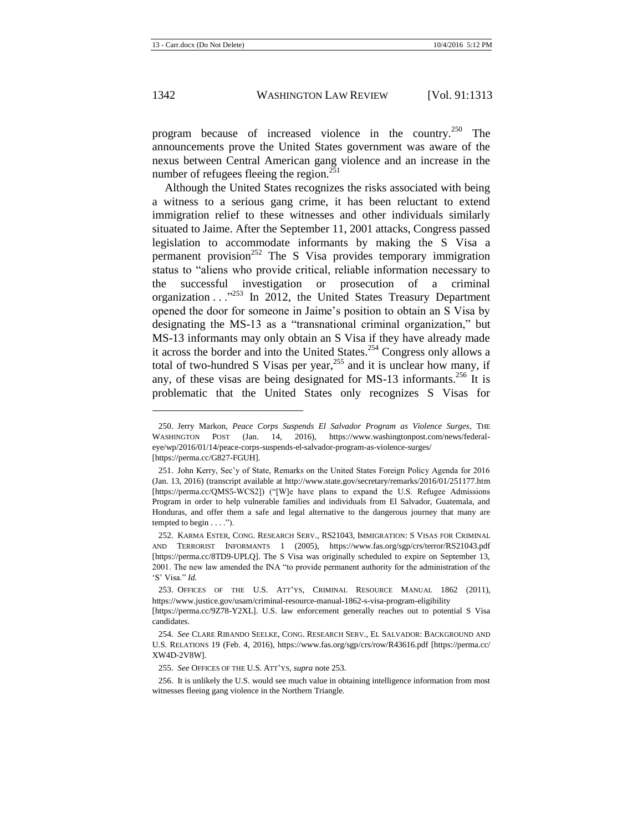program because of increased violence in the country.<sup>250</sup> The announcements prove the United States government was aware of the nexus between Central American gang violence and an increase in the number of refugees fleeing the region. $^{251}$ 

<span id="page-30-0"></span>Although the United States recognizes the risks associated with being a witness to a serious gang crime, it has been reluctant to extend immigration relief to these witnesses and other individuals similarly situated to Jaime. After the September 11, 2001 attacks, Congress passed legislation to accommodate informants by making the S Visa a permanent provision<sup>252</sup> The S Visa provides temporary immigration status to "aliens who provide critical, reliable information necessary to the successful investigation or prosecution of a criminal organization . . .<sup>3253</sup> In 2012, the United States Treasury Department opened the door for someone in Jaime's position to obtain an S Visa by designating the MS-13 as a "transnational criminal organization," but MS-13 informants may only obtain an S Visa if they have already made it across the border and into the United States.<sup>254</sup> Congress only allows a total of two-hundred S Visas per year,<sup>255</sup> and it is unclear how many, if any, of these visas are being designated for MS-13 informants.<sup>256</sup> It is problematic that the United States only recognizes S Visas for

<span id="page-30-1"></span><sup>250.</sup> Jerry Markon, *Peace Corps Suspends El Salvador Program as Violence Surges*, THE WASHINGTON POST (Jan. 14, 2016), https://www.washingtonpost.com/news/federaleye/wp/2016/01/14/peace-corps-suspends-el-salvador-program-as-violence-surges/ [https://perma.cc/G827-FGUH].

<sup>251.</sup> John Kerry, Sec'y of State, Remarks on the United States Foreign Policy Agenda for 2016 (Jan. 13, 2016) (transcript available at http://www.state.gov/secretary/remarks/2016/01/251177.htm [https://perma.cc/QMS5-WCS2]) ("[W]e have plans to expand the U.S. Refugee Admissions Program in order to help vulnerable families and individuals from El Salvador, Guatemala, and Honduras, and offer them a safe and legal alternative to the dangerous journey that many are tempted to begin  $\dots$ .").

<sup>252.</sup> KARMA ESTER, CONG. RESEARCH SERV., RS21043, IMMIGRATION: S VISAS FOR CRIMINAL AND TERRORIST INFORMANTS 1 (2005), https://www.fas.org/sgp/crs/terror/RS21043.pdf [https://perma.cc/8TD9-UPLQ]. The S Visa was originally scheduled to expire on September 13, 2001. The new law amended the INA "to provide permanent authority for the administration of the 'S' Visa." *Id.*

<sup>253.</sup> OFFICES OF THE U.S. ATT'YS, CRIMINAL RESOURCE MANUAL 1862 (2011), https://www.justice.gov/usam/criminal-resource-manual-1862-s-visa-program-eligibility

<sup>[</sup>https://perma.cc/9Z78-Y2XL]. U.S. law enforcement generally reaches out to potential S Visa candidates.

<sup>254.</sup> *See* CLARE RIBANDO SEELKE, CONG. RESEARCH SERV., EL SALVADOR: BACKGROUND AND U.S. RELATIONS 19 (Feb. 4, 2016), https://www.fas.org/sgp/crs/row/R43616.pdf [https://perma.cc/ XW4D-2V8W].

<sup>255.</sup> *See* OFFICES OF THE U.S. ATT'YS, *supra* not[e 253.](#page-30-0)

<sup>256.</sup> It is unlikely the U.S. would see much value in obtaining intelligence information from most witnesses fleeing gang violence in the Northern Triangle.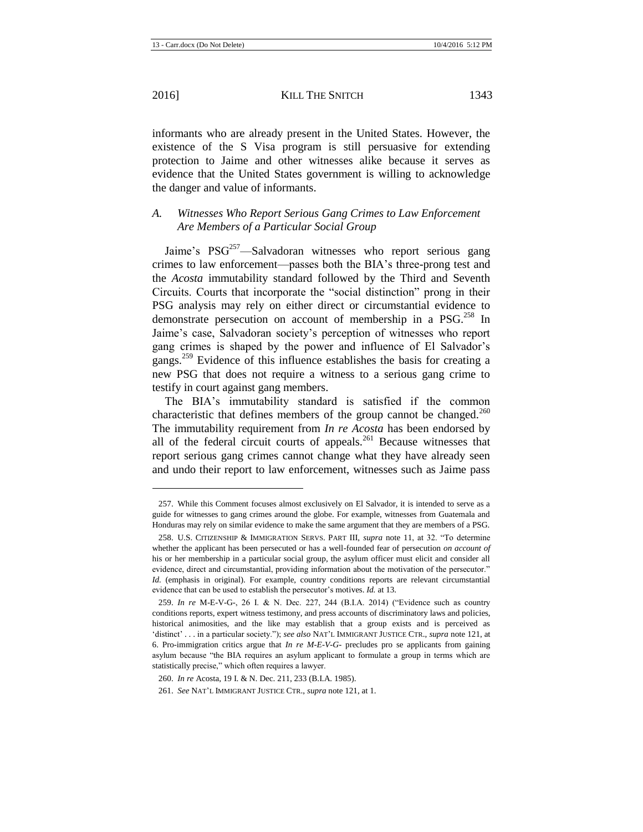informants who are already present in the United States. However, the existence of the S Visa program is still persuasive for extending protection to Jaime and other witnesses alike because it serves as evidence that the United States government is willing to acknowledge the danger and value of informants.

#### *A. Witnesses Who Report Serious Gang Crimes to Law Enforcement Are Members of a Particular Social Group*

Jaime's  $PSG<sup>257</sup>$ —Salvadoran witnesses who report serious gang crimes to law enforcement—passes both the BIA's three-prong test and the *Acosta* immutability standard followed by the Third and Seventh Circuits. Courts that incorporate the "social distinction" prong in their PSG analysis may rely on either direct or circumstantial evidence to demonstrate persecution on account of membership in a PSG.<sup>258</sup> In Jaime's case, Salvadoran society's perception of witnesses who report gang crimes is shaped by the power and influence of El Salvador's gangs.<sup>259</sup> Evidence of this influence establishes the basis for creating a new PSG that does not require a witness to a serious gang crime to testify in court against gang members.

The BIA's immutability standard is satisfied if the common characteristic that defines members of the group cannot be changed.<sup>260</sup> The immutability requirement from *In re Acosta* has been endorsed by all of the federal circuit courts of appeals. $^{261}$  Because witnesses that report serious gang crimes cannot change what they have already seen and undo their report to law enforcement, witnesses such as Jaime pass

<sup>257.</sup> While this Comment focuses almost exclusively on El Salvador, it is intended to serve as a guide for witnesses to gang crimes around the globe. For example, witnesses from Guatemala and Honduras may rely on similar evidence to make the same argument that they are members of a PSG.

<sup>258.</sup> U.S. CITIZENSHIP & IMMIGRATION SERVS. PART III, *supra* note [11,](#page-2-0) at 32. "To determine whether the applicant has been persecuted or has a well-founded fear of persecution *on account of*  his or her membership in a particular social group, the asylum officer must elicit and consider all evidence, direct and circumstantial, providing information about the motivation of the persecutor." *Id.* (emphasis in original). For example, country conditions reports are relevant circumstantial evidence that can be used to establish the persecutor's motives. *Id.* at 13.

<sup>259.</sup> *In re* M-E-V-G-, 26 I. & N. Dec. 227, 244 (B.I.A. 2014) ("Evidence such as country conditions reports, expert witness testimony, and press accounts of discriminatory laws and policies, historical animosities, and the like may establish that a group exists and is perceived as 'distinct' . . . in a particular society."); *see also* NAT'L IMMIGRANT JUSTICE CTR., *supra* not[e 121,](#page-16-0) at 6. Pro-immigration critics argue that *In re M-E-V-G-* precludes pro se applicants from gaining asylum because "the BIA requires an asylum applicant to formulate a group in terms which are statistically precise," which often requires a lawyer.

<sup>260.</sup> *In re* Acosta, 19 I. & N. Dec. 211, 233 (B.I.A. 1985).

<sup>261.</sup> *See* NAT'L IMMIGRANT JUSTICE CTR., *supra* not[e 121,](#page-16-0) at 1.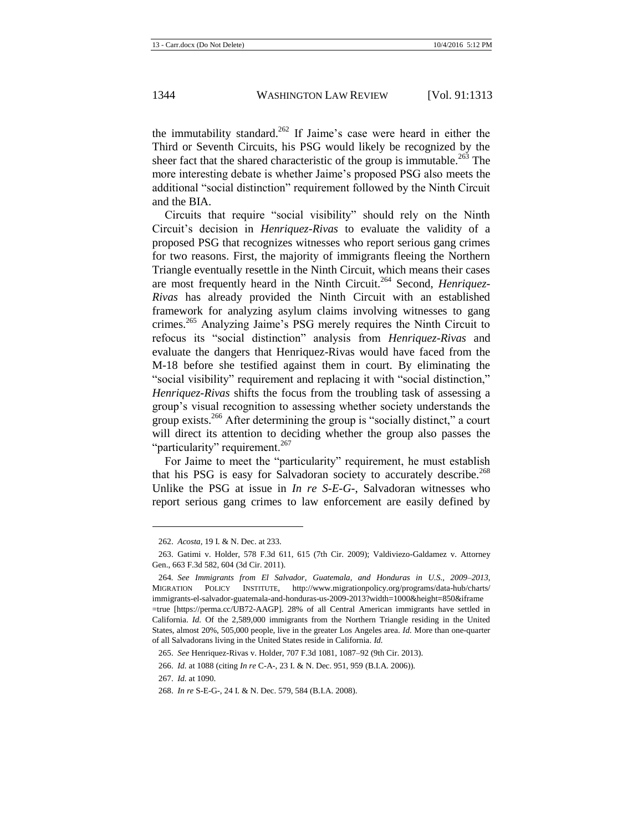the immutability standard.<sup>262</sup> If Jaime's case were heard in either the Third or Seventh Circuits, his PSG would likely be recognized by the sheer fact that the shared characteristic of the group is immutable.<sup>263</sup> The more interesting debate is whether Jaime's proposed PSG also meets the additional "social distinction" requirement followed by the Ninth Circuit and the BIA.

Circuits that require "social visibility" should rely on the Ninth Circuit's decision in *Henriquez-Rivas* to evaluate the validity of a proposed PSG that recognizes witnesses who report serious gang crimes for two reasons. First, the majority of immigrants fleeing the Northern Triangle eventually resettle in the Ninth Circuit, which means their cases are most frequently heard in the Ninth Circuit.<sup>264</sup> Second, *Henriquez*-*Rivas* has already provided the Ninth Circuit with an established framework for analyzing asylum claims involving witnesses to gang crimes.<sup>265</sup> Analyzing Jaime's PSG merely requires the Ninth Circuit to refocus its "social distinction" analysis from *Henriquez-Rivas* and evaluate the dangers that Henriquez-Rivas would have faced from the M-18 before she testified against them in court. By eliminating the "social visibility" requirement and replacing it with "social distinction," *Henriquez-Rivas* shifts the focus from the troubling task of assessing a group's visual recognition to assessing whether society understands the group exists.<sup>266</sup> After determining the group is "socially distinct," a court will direct its attention to deciding whether the group also passes the "particularity" requirement.<sup>267</sup>

For Jaime to meet the "particularity" requirement, he must establish that his PSG is easy for Salvadoran society to accurately describe.<sup>268</sup> Unlike the PSG at issue in *In re S-E-G-*, Salvadoran witnesses who report serious gang crimes to law enforcement are easily defined by

<sup>262.</sup> *Acosta*, 19 I. & N. Dec. at 233.

<sup>263.</sup> Gatimi v. Holder, 578 F.3d 611, 615 (7th Cir. 2009); Valdiviezo-Galdamez v. Attorney Gen., 663 F.3d 582, 604 (3d Cir. 2011).

<sup>264</sup>*. See Immigrants from El Salvador, Guatemala, and Honduras in U.S., 2009–2013*, MIGRATION POLICY INSTITUTE, http://www.migrationpolicy.org/programs/data-hub/charts/ immigrants-el-salvador-guatemala-and-honduras-us-2009-2013?width=1000&height=850&iframe =true [https://perma.cc/UB72-AAGP]. 28% of all Central American immigrants have settled in California. *Id.* Of the 2,589,000 immigrants from the Northern Triangle residing in the United States, almost 20%, 505,000 people, live in the greater Los Angeles area. *Id.* More than one-quarter of all Salvadorans living in the United States reside in California. *Id.*

<sup>265.</sup> *See* Henriquez-Rivas v. Holder, 707 F.3d 1081, 1087–92 (9th Cir. 2013).

<sup>266.</sup> *Id.* at 1088 (citing *In re* C-A-, 23 I. & N. Dec. 951, 959 (B.I.A. 2006)).

<sup>267.</sup> *Id.* at 1090.

<sup>268.</sup> *In re* S-E-G-, 24 I. & N. Dec. 579, 584 (B.I.A. 2008).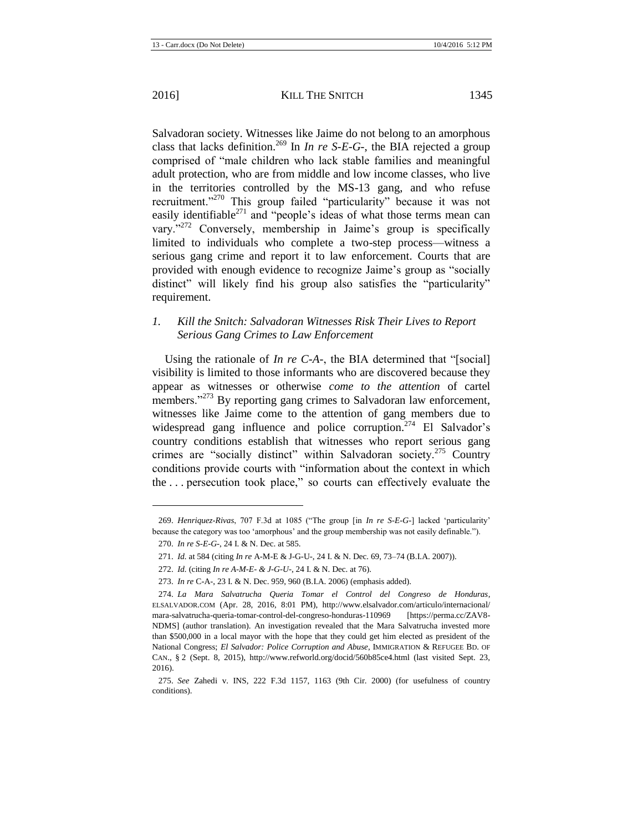Salvadoran society. Witnesses like Jaime do not belong to an amorphous class that lacks definition.<sup>269</sup> In *In re S-E-G-*, the BIA rejected a group comprised of "male children who lack stable families and meaningful adult protection, who are from middle and low income classes, who live in the territories controlled by the MS-13 gang, and who refuse recruitment."<sup>270</sup> This group failed "particularity" because it was not easily identifiable $^{271}$  and "people's ideas of what those terms mean can vary."<sup>272</sup> Conversely, membership in Jaime's group is specifically limited to individuals who complete a two-step process—witness a serious gang crime and report it to law enforcement. Courts that are provided with enough evidence to recognize Jaime's group as "socially distinct" will likely find his group also satisfies the "particularity" requirement.

## *1. Kill the Snitch: Salvadoran Witnesses Risk Their Lives to Report Serious Gang Crimes to Law Enforcement*

<span id="page-33-0"></span>Using the rationale of *In re C-A-*, the BIA determined that "[social] visibility is limited to those informants who are discovered because they appear as witnesses or otherwise *come to the attention* of cartel members."<sup>273</sup> By reporting gang crimes to Salvadoran law enforcement, witnesses like Jaime come to the attention of gang members due to widespread gang influence and police corruption.<sup>274</sup> El Salvador's country conditions establish that witnesses who report serious gang crimes are "socially distinct" within Salvadoran society.<sup>275</sup> Country conditions provide courts with "information about the context in which the . . . persecution took place," so courts can effectively evaluate the

<sup>269.</sup> *Henriquez-Rivas*, 707 F.3d at 1085 ("The group [in *In re S-E-G-*] lacked 'particularity' because the category was too 'amorphous' and the group membership was not easily definable.").

<sup>270.</sup> *In re S-E-G-*, 24 I. & N. Dec. at 585.

<sup>271.</sup> *Id.* at 584 (citing *In re* A-M-E & J-G-U-, 24 I. & N. Dec. 69, 73–74 (B.I.A. 2007)).

<sup>272.</sup> *Id.* (citing *In re A-M-E- & J-G-U-*, 24 I. & N. Dec. at 76).

<sup>273.</sup> *In re* C-A-, 23 I. & N. Dec. 959, 960 (B.I.A. 2006) (emphasis added).

<sup>274.</sup> *La Mara Salvatrucha Queria Tomar el Control del Congreso de Honduras*, ELSALVADOR.COM (Apr. 28, 2016, 8:01 PM), http://www.elsalvador.com/articulo/internacional/ mara-salvatrucha-queria-tomar-control-del-congreso-honduras-110969 [https://perma.cc/ZAV8- NDMS] (author translation). An investigation revealed that the Mara Salvatrucha invested more than \$500,000 in a local mayor with the hope that they could get him elected as president of the National Congress; *El Salvador: Police Corruption and Abuse*, IMMIGRATION & REFUGEE BD. OF CAN., § 2 (Sept. 8, 2015), http://www.refworld.org/docid/560b85ce4.html (last visited Sept. 23, 2016).

<sup>275.</sup> *See* Zahedi v. INS, 222 F.3d 1157, 1163 (9th Cir. 2000) (for usefulness of country conditions).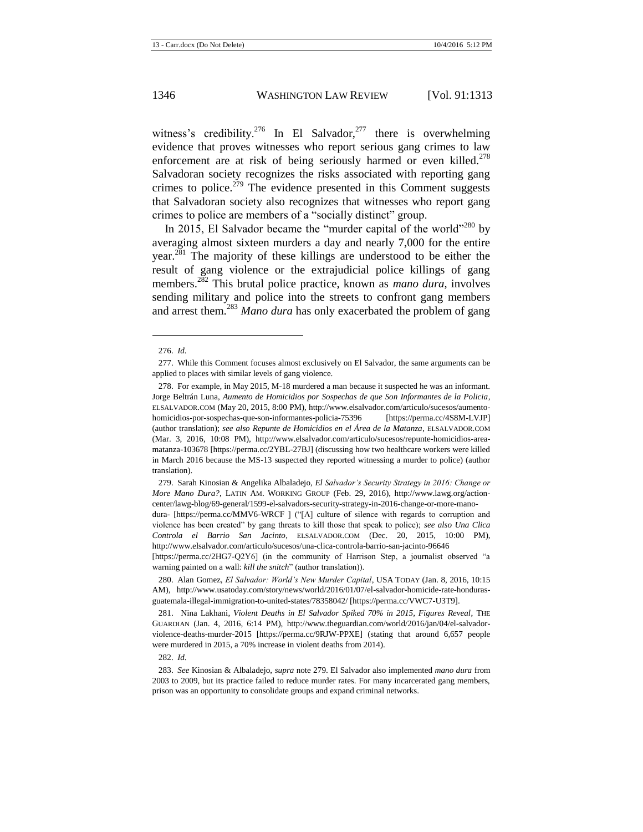<span id="page-34-2"></span>witness's credibility.<sup>276</sup> In El Salvador,<sup>277</sup> there is overwhelming evidence that proves witnesses who report serious gang crimes to law enforcement are at risk of being seriously harmed or even killed.<sup>278</sup> Salvadoran society recognizes the risks associated with reporting gang crimes to police.<sup>279</sup> The evidence presented in this Comment suggests that Salvadoran society also recognizes that witnesses who report gang crimes to police are members of a "socially distinct" group.

<span id="page-34-1"></span><span id="page-34-0"></span>In 2015, El Salvador became the "murder capital of the world"<sup>280</sup> by averaging almost sixteen murders a day and nearly 7,000 for the entire year.<sup>281</sup> The majority of these killings are understood to be either the result of gang violence or the extrajudicial police killings of gang members.<sup>282</sup> This brutal police practice, known as *mano dura*, involves sending military and police into the streets to confront gang members and arrest them.<sup>283</sup> *Mano dura* has only exacerbated the problem of gang

l

279. Sarah Kinosian & Angelika Albaladejo, *El Salvador's Security Strategy in 2016: Change or More Mano Dura?*, LATIN AM. WORKING GROUP (Feb. 29, 2016), http://www.lawg.org/actioncenter/lawg-blog/69-general/1599-el-salvadors-security-strategy-in-2016-change-or-more-mano-

dura- [https://perma.cc/MMV6-WRCF ] ("[A] culture of silence with regards to corruption and violence has been created" by gang threats to kill those that speak to police); *see also Una Clica Controla el Barrio San Jacinto*, ELSALVADOR.COM (Dec. 20, 2015, 10:00 PM), http://www.elsalvador.com/articulo/sucesos/una-clica-controla-barrio-san-jacinto-96646

[https://perma.cc/2HG7-Q2Y6] (in the community of Harrison Step, a journalist observed "a warning painted on a wall: *kill the snitch*" (author translation)).

280. Alan Gomez, *El Salvador: World's New Murder Capital*, USA TODAY (Jan. 8, 2016, 10:15 AM), http://www.usatoday.com/story/news/world/2016/01/07/el-salvador-homicide-rate-hondurasguatemala-illegal-immigration-to-united-states/78358042/ [https://perma.cc/VWC7-U3T9].

281. Nina Lakhani, *Violent Deaths in El Salvador Spiked 70% in 2015, Figures Reveal*, THE GUARDIAN (Jan. 4, 2016, 6:14 PM), http://www.theguardian.com/world/2016/jan/04/el-salvadorviolence-deaths-murder-2015 [https://perma.cc/9RJW-PPXE] (stating that around 6,657 people were murdered in 2015, a 70% increase in violent deaths from 2014).

282. *Id.*

<sup>276.</sup> *Id.*

<sup>277.</sup> While this Comment focuses almost exclusively on El Salvador, the same arguments can be applied to places with similar levels of gang violence.

<sup>278.</sup> For example, in May 2015, M-18 murdered a man because it suspected he was an informant. Jorge Beltrán Luna, *Aumento de Homicidios por Sospechas de que Son Informantes de la Policia*, ELSALVADOR.COM (May 20, 2015, 8:00 PM), http://www.elsalvador.com/articulo/sucesos/aumentohomicidios-por-sospechas-que-son-informantes-policia-75396 [https://perma.cc/4S8M-LVJP] (author translation); *see also Repunte de Homicidios en el Área de la Matanza*, ELSALVADOR.COM (Mar. 3, 2016, 10:08 PM), http://www.elsalvador.com/articulo/sucesos/repunte-homicidios-areamatanza-103678 [https://perma.cc/2YBL-27BJ] (discussing how two healthcare workers were killed in March 2016 because the MS-13 suspected they reported witnessing a murder to police) (author translation).

<sup>283.</sup> *See* Kinosian & Albaladejo, *supra* not[e 279.](#page-34-0) El Salvador also implemented *mano dura* from 2003 to 2009, but its practice failed to reduce murder rates. For many incarcerated gang members, prison was an opportunity to consolidate groups and expand criminal networks.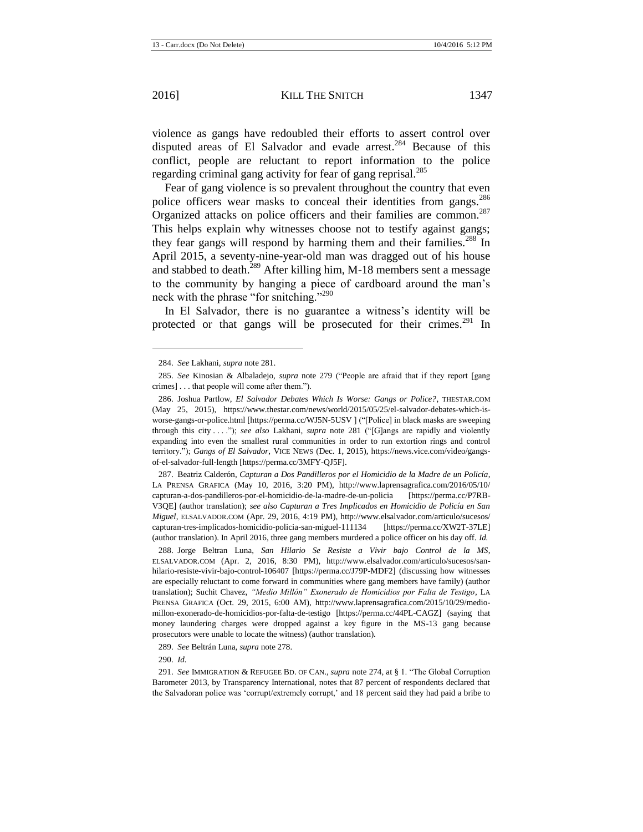l

violence as gangs have redoubled their efforts to assert control over disputed areas of El Salvador and evade arrest.<sup>284</sup> Because of this conflict, people are reluctant to report information to the police regarding criminal gang activity for fear of gang reprisal.<sup>285</sup>

<span id="page-35-0"></span>Fear of gang violence is so prevalent throughout the country that even police officers wear masks to conceal their identities from gangs.<sup>286</sup> Organized attacks on police officers and their families are common.<sup>287</sup> This helps explain why witnesses choose not to testify against gangs; they fear gangs will respond by harming them and their families.<sup>288</sup> In April 2015, a seventy-nine-year-old man was dragged out of his house and stabbed to death.<sup>289</sup> After killing him, M-18 members sent a message to the community by hanging a piece of cardboard around the man's neck with the phrase "for snitching."<sup>290</sup>

In El Salvador, there is no guarantee a witness's identity will be protected or that gangs will be prosecuted for their crimes.<sup>291</sup> In

287. Beatriz Calderón, *Capturan a Dos Pandilleros por el Homicidio de la Madre de un Policía*, LA PRENSA GRAFICA (May 10, 2016, 3:20 PM), http://www.laprensagrafica.com/2016/05/10/ capturan-a-dos-pandilleros-por-el-homicidio-de-la-madre-de-un-policia [https://perma.cc/P7RB-V3QE] (author translation); *see also Capturan a Tres Implicados en Homicidio de Policía en San Miguel*, ELSALVADOR.COM (Apr. 29, 2016, 4:19 PM), http://www.elsalvador.com/articulo/sucesos/ capturan-tres-implicados-homicidio-policia-san-miguel-111134 [https://perma.cc/XW2T-37LE] (author translation). In April 2016, three gang members murdered a police officer on his day off. *Id.*

288. Jorge Beltran Luna, *San Hilario Se Resiste a Vivir bajo Control de la MS*, ELSALVADOR.COM (Apr. 2, 2016, 8:30 PM), http://www.elsalvador.com/articulo/sucesos/sanhilario-resiste-vivir-bajo-control-106407 [https://perma.cc/J79P-MDF2] (discussing how witnesses are especially reluctant to come forward in communities where gang members have family) (author translation); Suchit Chavez, *"Medio Millón" Exonerado de Homicidios por Falta de Testigo*, LA PRENSA GRAFICA (Oct. 29, 2015, 6:00 AM), http://www.laprensagrafica.com/2015/10/29/mediomillon-exonerado-de-homicidios-por-falta-de-testigo [https://perma.cc/44PL-CAGZ] (saying that money laundering charges were dropped against a key figure in the MS-13 gang because prosecutors were unable to locate the witness) (author translation).

289. *See* Beltrán Luna, *supra* not[e 278.](#page-34-2)

290. *Id.*

<sup>284.</sup> *See* Lakhani, *supra* not[e 281.](#page-34-1)

<sup>285.</sup> *See* Kinosian & Albaladejo, *supra* note [279](#page-34-0) ("People are afraid that if they report [gang crimes] . . . that people will come after them.").

<sup>286.</sup> Joshua Partlow, *El Salvador Debates Which Is Worse: Gangs or Police?*, THESTAR.COM (May 25, 2015), https://www.thestar.com/news/world/2015/05/25/el-salvador-debates-which-isworse-gangs-or-police.html [https://perma.cc/WJ5N-5USV ] ("[Police] in black masks are sweeping through this city . . . ."); *see also* Lakhani, *supra* note [281](#page-34-1) ("[G]angs are rapidly and violently expanding into even the smallest rural communities in order to run extortion rings and control territory."); *Gangs of El Salvador*, VICE NEWS (Dec. 1, 2015), https://news.vice.com/video/gangsof-el-salvador-full-length [https://perma.cc/3MFY-QJ5F].

<sup>291.</sup> *See* IMMIGRATION & REFUGEE BD. OF CAN., *supra* not[e 274,](#page-33-0) at § 1. "The Global Corruption Barometer 2013, by Transparency International, notes that 87 percent of respondents declared that the Salvadoran police was 'corrupt/extremely corrupt,' and 18 percent said they had paid a bribe to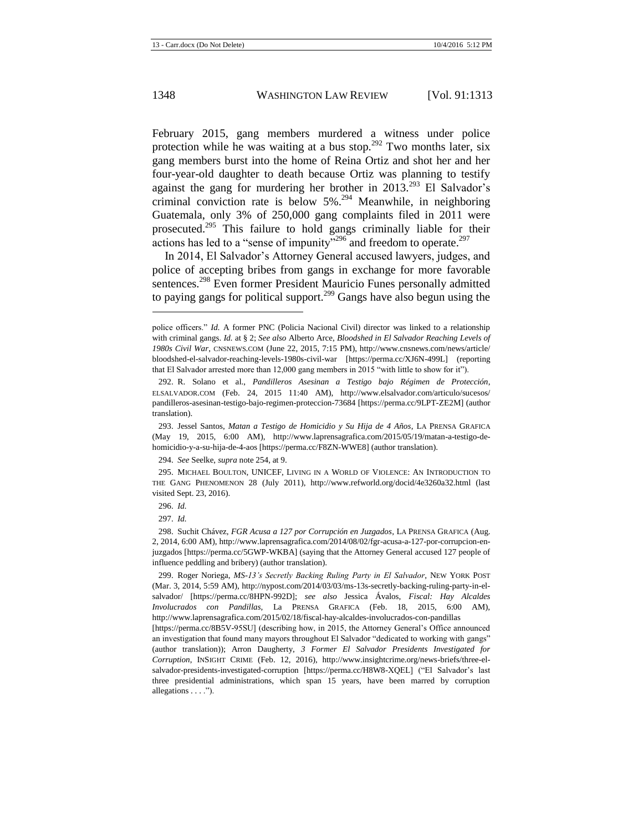<span id="page-36-0"></span>February 2015, gang members murdered a witness under police protection while he was waiting at a bus stop.<sup>292</sup> Two months later, six gang members burst into the home of Reina Ortiz and shot her and her four-year-old daughter to death because Ortiz was planning to testify against the gang for murdering her brother in  $2013^{293}$  El Salvador's criminal conviction rate is below 5%. <sup>294</sup> Meanwhile, in neighboring Guatemala, only 3% of 250,000 gang complaints filed in 2011 were prosecuted.<sup>295</sup> This failure to hold gangs criminally liable for their actions has led to a "sense of impunity"<sup>296</sup> and freedom to operate.<sup>297</sup>

In 2014, El Salvador's Attorney General accused lawyers, judges, and police of accepting bribes from gangs in exchange for more favorable sentences.<sup>298</sup> Even former President Mauricio Funes personally admitted to paying gangs for political support.<sup>299</sup> Gangs have also begun using the

294. *See* Seelke, *supra* not[e 254,](#page-30-1) at 9.

295. MICHAEL BOULTON, UNICEF, LIVING IN A WORLD OF VIOLENCE: AN INTRODUCTION TO THE GANG PHENOMENON 28 (July 2011), http://www.refworld.org/docid/4e3260a32.html (last visited Sept. 23, 2016).

296. *Id.*

297. *Id.*

299. Roger Noriega, *MS-13's Secretly Backing Ruling Party in El Salvador*, NEW YORK POST (Mar. 3, 2014, 5:59 AM), http://nypost.com/2014/03/03/ms-13s-secretly-backing-ruling-party-in-elsalvador/ [https://perma.cc/8HPN-992D]; *see also* Jessica Ávalos, *Fiscal: Hay Alcaldes Involucrados con Pandillas,* La PRENSA GRAFICA (Feb. 18, 2015, 6:00 AM), http://www.laprensagrafica.com/2015/02/18/fiscal-hay-alcaldes-involucrados-con-pandillas

[https://perma.cc/8B5V-95SU] (describing how, in 2015, the Attorney General's Office announced an investigation that found many mayors throughout El Salvador "dedicated to working with gangs" (author translation)); Arron Daugherty, *3 Former El Salvador Presidents Investigated for Corruption*, INSIGHT CRIME (Feb. 12, 2016), http://www.insightcrime.org/news-briefs/three-elsalvador-presidents-investigated-corruption [https://perma.cc/H8W8-XQEL] ("El Salvador's last three presidential administrations, which span 15 years, have been marred by corruption allegations . . . .").

police officers." *Id.* A former PNC (Policia Nacional Civil) director was linked to a relationship with criminal gangs. *Id.* at § 2; *See also* Alberto Arce, *Bloodshed in El Salvador Reaching Levels of 1980s Civil War*, CNSNEWS.COM (June 22, 2015, 7:15 PM), http://www.cnsnews.com/news/article/ bloodshed-el-salvador-reaching-levels-1980s-civil-war [https://perma.cc/XJ6N-499L] (reporting that El Salvador arrested more than 12,000 gang members in 2015 "with little to show for it").

<sup>292.</sup> R. Solano et al., *Pandilleros Asesinan a Testigo bajo Régimen de Protección*, ELSALVADOR.COM (Feb. 24, 2015 11:40 AM), http://www.elsalvador.com/articulo/sucesos/ pandilleros-asesinan-testigo-bajo-regimen-proteccion-73684 [https://perma.cc/9LPT-ZE2M] (author translation).

<sup>293.</sup> Jessel Santos, *Matan a Testigo de Homicidio y Su Hija de 4 Años*, LA PRENSA GRAFICA (May 19, 2015, 6:00 AM), http://www.laprensagrafica.com/2015/05/19/matan-a-testigo-dehomicidio-y-a-su-hija-de-4-aos [https://perma.cc/F8ZN-WWE8] (author translation).

<sup>298.</sup> Suchit Chávez, *FGR Acusa a 127 por Corrupción en Juzgados*, LA PRENSA GRAFICA (Aug. 2, 2014, 6:00 AM), http://www.laprensagrafica.com/2014/08/02/fgr-acusa-a-127-por-corrupcion-enjuzgados [https://perma.cc/5GWP-WKBA] (saying that the Attorney General accused 127 people of influence peddling and bribery) (author translation).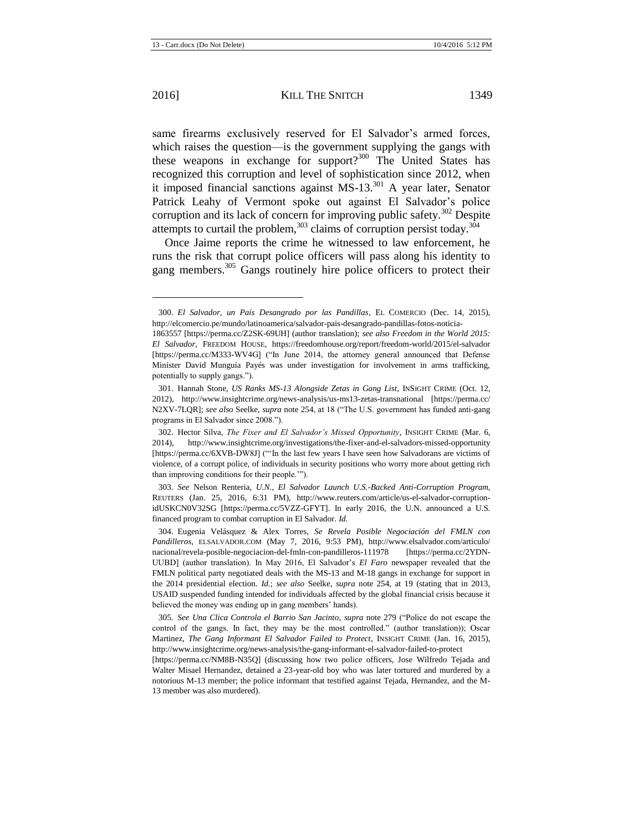same firearms exclusively reserved for El Salvador's armed forces, which raises the question—is the government supplying the gangs with these weapons in exchange for support?<sup>300</sup> The United States has recognized this corruption and level of sophistication since 2012, when it imposed financial sanctions against  $MS-13$ <sup>301</sup> A year later, Senator Patrick Leahy of Vermont spoke out against El Salvador's police corruption and its lack of concern for improving public safety.<sup>302</sup> Despite attempts to curtail the problem,  $303$  claims of corruption persist today.  $3\overline{04}$ 

Once Jaime reports the crime he witnessed to law enforcement, he runs the risk that corrupt police officers will pass along his identity to gang members.<sup>305</sup> Gangs routinely hire police officers to protect their

303. *See* Nelson Renteria, *U.N., El Salvador Launch U.S.-Backed Anti-Corruption Program*, REUTERS (Jan. 25, 2016, 6:31 PM), http://www.reuters.com/article/us-el-salvador-corruptionidUSKCN0V32SG [https://perma.cc/5VZZ-GFYT]. In early 2016, the U.N. announced a U.S. financed program to combat corruption in El Salvador. *Id.*

304. Eugenia Velásquez & Alex Torres, *Se Revela Posible Negociación del FMLN con Pandilleros*, ELSALVADOR.COM (May 7, 2016, 9:53 PM), http://www.elsalvador.com/articulo/ nacional/revela-posible-negociacion-del-fmln-con-pandilleros-111978 [https://perma.cc/2YDN-UUBD] (author translation). In May 2016, El Salvador's *El Faro* newspaper revealed that the FMLN political party negotiated deals with the MS-13 and M-18 gangs in exchange for support in the 2014 presidential election. *Id.*; *see also* Seelke, *supra* note [254,](#page-30-1) at 19 (stating that in 2013, USAID suspended funding intended for individuals affected by the global financial crisis because it believed the money was ending up in gang members' hands).

305. *See Una Clica Controla el Barrio San Jacinto*, *supra* note [279](#page-34-0) ("Police do not escape the control of the gangs. In fact, they may be the most controlled." (author translation)); Oscar Martinez, *The Gang Informant El Salvador Failed to Protect*, INSIGHT CRIME (Jan. 16, 2015), http://www.insightcrime.org/news-analysis/the-gang-informant-el-salvador-failed-to-protect

[https://perma.cc/NM8B-N35Q] (discussing how two police officers, Jose Wilfredo Tejada and Walter Misael Hernandez, detained a 23-year-old boy who was later tortured and murdered by a notorious M-13 member; the police informant that testified against Tejada, Hernandez, and the M-13 member was also murdered).

<sup>300.</sup> *El Salvador, un País Desangrado por las Pandillas*, EL COMERCIO (Dec. 14, 2015), http://elcomercio.pe/mundo/latinoamerica/salvador-pais-desangrado-pandillas-fotos-noticia-

<sup>1863557 [</sup>https://perma.cc/Z2SK-69UH] (author translation); *see also Freedom in the World 2015: El Salvador*, FREEDOM HOUSE, https://freedomhouse.org/report/freedom-world/2015/el-salvador [https://perma.cc/M333-WV4G] ("In June 2014, the attorney general announced that Defense Minister David Munguía Payés was under investigation for involvement in arms trafficking, potentially to supply gangs.").

<sup>301.</sup> Hannah Stone, *US Ranks MS-13 Alongside Zetas in Gang List*, INSIGHT CRIME (Oct. 12, 2012), http://www.insightcrime.org/news-analysis/us-ms13-zetas-transnational [https://perma.cc/ N2XV-7LQR]; *see also* Seelke, *supra* not[e 254,](#page-30-1) at 18 ("The U.S. government has funded anti-gang programs in El Salvador since 2008.").

<sup>302.</sup> Hector Silva, *The Fixer and El Salvador's Missed Opportunity*, INSIGHT CRIME (Mar. 6, 2014), http://www.insightcrime.org/investigations/the-fixer-and-el-salvadors-missed-opportunity [https://perma.cc/6XVB-DW8J] ("'In the last few years I have seen how Salvadorans are victims of violence, of a corrupt police, of individuals in security positions who worry more about getting rich than improving conditions for their people.'").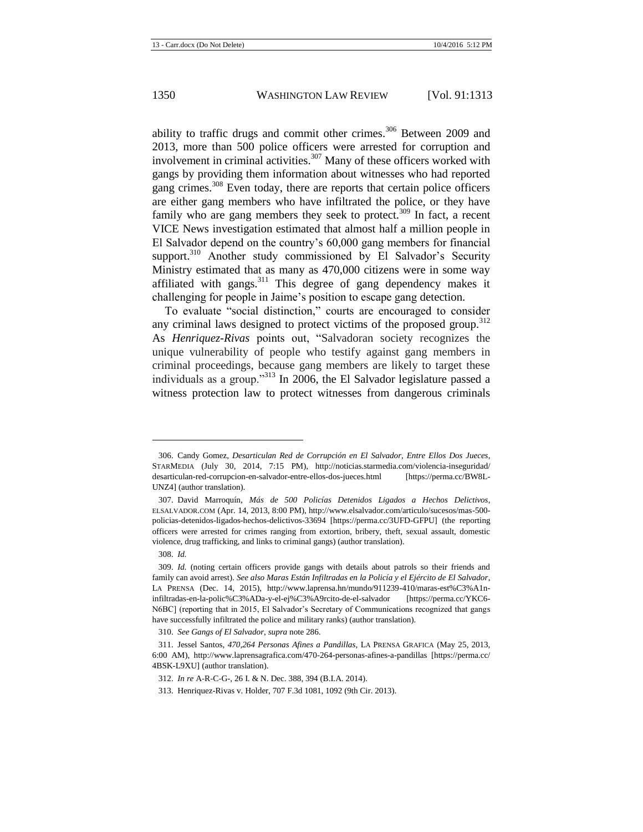ability to traffic drugs and commit other crimes.<sup>306</sup> Between 2009 and 2013, more than 500 police officers were arrested for corruption and involvement in criminal activities.<sup>307</sup> Many of these officers worked with gangs by providing them information about witnesses who had reported gang crimes.<sup>308</sup> Even today, there are reports that certain police officers are either gang members who have infiltrated the police, or they have family who are gang members they seek to protect. $309$  In fact, a recent VICE News investigation estimated that almost half a million people in El Salvador depend on the country's 60,000 gang members for financial support.<sup>310</sup> Another study commissioned by El Salvador's Security Ministry estimated that as many as 470,000 citizens were in some way affiliated with gangs. $311$  This degree of gang dependency makes it challenging for people in Jaime's position to escape gang detection.

To evaluate "social distinction," courts are encouraged to consider any criminal laws designed to protect victims of the proposed group.<sup>312</sup> As *Henriquez-Rivas* points out, "Salvadoran society recognizes the unique vulnerability of people who testify against gang members in criminal proceedings, because gang members are likely to target these individuals as a group."<sup>313</sup> In 2006, the El Salvador legislature passed a witness protection law to protect witnesses from dangerous criminals

 $\overline{a}$ 

<sup>306.</sup> Candy Gomez, *Desarticulan Red de Corrupción en El Salvador, Entre Ellos Dos Jueces*, STARMEDIA (July 30, 2014, 7:15 PM), http://noticias.starmedia.com/violencia-inseguridad/ desarticulan-red-corrupcion-en-salvador-entre-ellos-dos-jueces.html [https://perma.cc/BW8L-UNZ4] (author translation).

<sup>307.</sup> David Marroquín, *Más de 500 Policías Detenidos Ligados a Hechos Delictivos*, ELSALVADOR.COM (Apr. 14, 2013, 8:00 PM), http://www.elsalvador.com/articulo/sucesos/mas-500 policias-detenidos-ligados-hechos-delictivos-33694 [https://perma.cc/3UFD-GFPU] (the reporting officers were arrested for crimes ranging from extortion, bribery, theft, sexual assault, domestic violence, drug trafficking, and links to criminal gangs) (author translation).

<sup>308.</sup> *Id.*

<sup>309.</sup> *Id.* (noting certain officers provide gangs with details about patrols so their friends and family can avoid arrest). *See also Maras Están Infiltradas en la Policía y el Ejército de El Salvador*, LA PRENSA (Dec. 14, 2015), http://www.laprensa.hn/mundo/911239-410/maras-est%C3%A1ninfiltradas-en-la-polic%C3%ADa-y-el-ej%C3%A9rcito-de-el-salvador [https://perma.cc/YKC6- N6BC] (reporting that in 2015, El Salvador's Secretary of Communications recognized that gangs have successfully infiltrated the police and military ranks) (author translation).

<sup>310.</sup> *See Gangs of El Salvador*, *supra* not[e 286.](#page-35-0)

<sup>311.</sup> Jessel Santos, *470,264 Personas Afines a Pandillas*, LA PRENSA GRAFICA (May 25, 2013, 6:00 AM), http://www.laprensagrafica.com/470-264-personas-afines-a-pandillas [https://perma.cc/ 4BSK-L9XU] (author translation).

<sup>312.</sup> *In re* A-R-C-G-, 26 I. & N. Dec. 388, 394 (B.I.A. 2014).

<sup>313.</sup> Henriquez-Rivas v. Holder, 707 F.3d 1081, 1092 (9th Cir. 2013).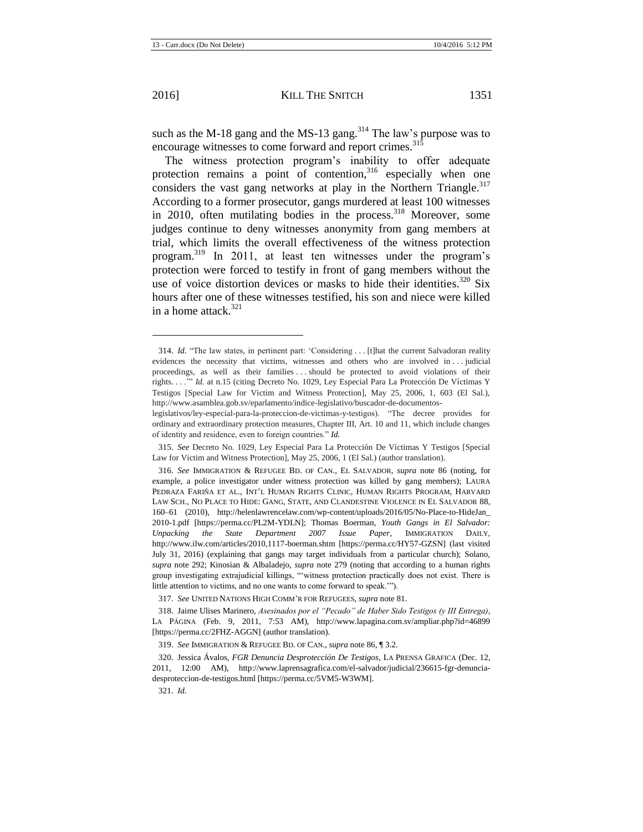l

such as the M-18 gang and the MS-13 gang.<sup>314</sup> The law's purpose was to encourage witnesses to come forward and report crimes.<sup>315</sup>

The witness protection program's inability to offer adequate protection remains a point of contention, $316$  especially when one considers the vast gang networks at play in the Northern Triangle.<sup>317</sup> According to a former prosecutor, gangs murdered at least 100 witnesses in 2010, often mutilating bodies in the process.<sup>318</sup> Moreover, some judges continue to deny witnesses anonymity from gang members at trial, which limits the overall effectiveness of the witness protection program.<sup>319</sup> In 2011, at least ten witnesses under the program's protection were forced to testify in front of gang members without the use of voice distortion devices or masks to hide their identities.<sup>320</sup> Six hours after one of these witnesses testified, his son and niece were killed in a home attack  $321$ 

317. *See* UNITED NATIONS HIGH COMM'R FOR REFUGEES, *supra* not[e 81.](#page-12-3)

318. Jaime Ulises Marinero, *Asesinados por el "Pecado" de Haber Sido Testigos (y III Entrega)*, LA PÁGINA (Feb. 9, 2011, 7:53 AM), http://www.lapagina.com.sv/ampliar.php?id=46899 [https://perma.cc/2FHZ-AGGN] (author translation).

319. *See* IMMIGRATION & REFUGEE BD. OF CAN., *supra* not[e 86,](#page-13-0) ¶ 3.2.

321. *Id.*

<sup>314.</sup> *Id.* "The law states, in pertinent part: 'Considering . . . [t]hat the current Salvadoran reality evidences the necessity that victims, witnesses and others who are involved in . . . judicial proceedings, as well as their families . . . should be protected to avoid violations of their rights. . . .'" *Id.* at n.15 (citing Decreto No. 1029, Ley Especial Para La Protección De Víctimas Y Testigos [Special Law for Victim and Witness Protection], May 25, 2006, 1, 603 (El Sal.), http://www.asamblea.gob.sv/eparlamento/indice-legislativo/buscador-de-documentos-

legislativos/ley-especial-para-la-proteccion-de-victimas-y-testigos). "The decree provides for ordinary and extraordinary protection measures, Chapter III, Art. 10 and 11, which include changes of identity and residence, even to foreign countries." *Id.*

<sup>315.</sup> *See* Decreto No. 1029, Ley Especial Para La Protección De Víctimas Y Testigos [Special Law for Victim and Witness Protection], May 25, 2006, 1 (El Sal.) (author translation).

<sup>316.</sup> *See* IMMIGRATION & REFUGEE BD. OF CAN., EL SALVADOR, *supra* note [86](#page-13-0) (noting, for example, a police investigator under witness protection was killed by gang members); LAURA PEDRAZA FARIÑA ET AL., INT'L HUMAN RIGHTS CLINIC, HUMAN RIGHTS PROGRAM, HARVARD LAW SCH., NO PLACE TO HIDE: GANG, STATE, AND CLANDESTINE VIOLENCE IN EL SALVADOR 88, 160–61 (2010), http://helenlawrencelaw.com/wp-content/uploads/2016/05/No-Place-to-HideJan\_ 2010-1.pdf [https://perma.cc/PL2M-YDLN]; Thomas Boerman, *Youth Gangs in El Salvador: Unpacking the State Department 2007 Issue Paper*, IMMIGRATION DAILY, http://www.ilw.com/articles/2010,1117-boerman.shtm [https://perma.cc/HY57-GZSN] (last visited July 31, 2016) (explaining that gangs may target individuals from a particular church); Solano, *supra* note [292;](#page-36-0) Kinosian & Albaladejo, *supra* note [279](#page-34-0) (noting that according to a human rights group investigating extrajudicial killings, "'witness protection practically does not exist. There is little attention to victims, and no one wants to come forward to speak.'").

<sup>320.</sup> Jessica Ávalos, *FGR Denuncia Desprotección De Testigos*, LA PRENSA GRAFICA (Dec. 12, 2011, 12:00 AM), http://www.laprensagrafica.com/el-salvador/judicial/236615-fgr-denunciadesproteccion-de-testigos.html [https://perma.cc/5VM5-W3WM].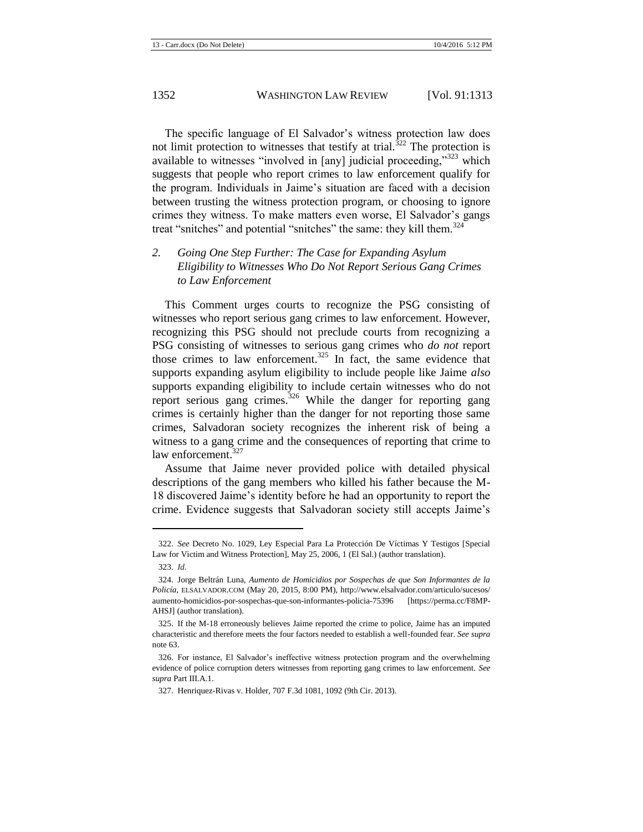The specific language of El Salvador's witness protection law does not limit protection to witnesses that testify at trial.<sup>322</sup> The protection is available to witnesses "involved in [any] judicial proceeding,"<sup>323</sup> which suggests that people who report crimes to law enforcement qualify for the program. Individuals in Jaime's situation are faced with a decision between trusting the witness protection program, or choosing to ignore crimes they witness. To make matters even worse, El Salvador's gangs treat "snitches" and potential "snitches" the same: they kill them. $324$ 

#### *2. Going One Step Further: The Case for Expanding Asylum Eligibility to Witnesses Who Do Not Report Serious Gang Crimes to Law Enforcement*

This Comment urges courts to recognize the PSG consisting of witnesses who report serious gang crimes to law enforcement. However, recognizing this PSG should not preclude courts from recognizing a PSG consisting of witnesses to serious gang crimes who *do not* report those crimes to law enforcement.<sup>325</sup> In fact, the same evidence that supports expanding asylum eligibility to include people like Jaime *also* supports expanding eligibility to include certain witnesses who do not report serious gang crimes.<sup>326</sup> While the danger for reporting gang crimes is certainly higher than the danger for not reporting those same crimes, Salvadoran society recognizes the inherent risk of being a witness to a gang crime and the consequences of reporting that crime to law enforcement.<sup>327</sup>

Assume that Jaime never provided police with detailed physical descriptions of the gang members who killed his father because the M-18 discovered Jaime's identity before he had an opportunity to report the crime. Evidence suggests that Salvadoran society still accepts Jaime's

 $\overline{a}$ 

<sup>322.</sup> *See* Decreto No. 1029, Ley Especial Para La Protección De Víctimas Y Testigos [Special Law for Victim and Witness Protection], May 25, 2006, 1 (El Sal.) (author translation).

<sup>323.</sup> *Id.*

<sup>324.</sup> Jorge Beltrán Luna, *Aumento de Homicidios por Sospechas de que Son Informantes de la Policía*, ELSALVADOR.COM (May 20, 2015, 8:00 PM), http://www.elsalvador.com/articulo/sucesos/ aumento-homicidios-por-sospechas-que-son-informantes-policia-75396 [https://perma.cc/F8MP-AHSJ] (author translation).

<sup>325.</sup> If the M-18 erroneously believes Jaime reported the crime to police, Jaime has an imputed characteristic and therefore meets the four factors needed to establish a well-founded fear. *See supra*  note [63.](#page-9-0)

<sup>326.</sup> For instance, El Salvador's ineffective witness protection program and the overwhelming evidence of police corruption deters witnesses from reporting gang crimes to law enforcement. *See supra* Part III.A.1.

<sup>327.</sup> Henriquez-Rivas v. Holder, 707 F.3d 1081, 1092 (9th Cir. 2013).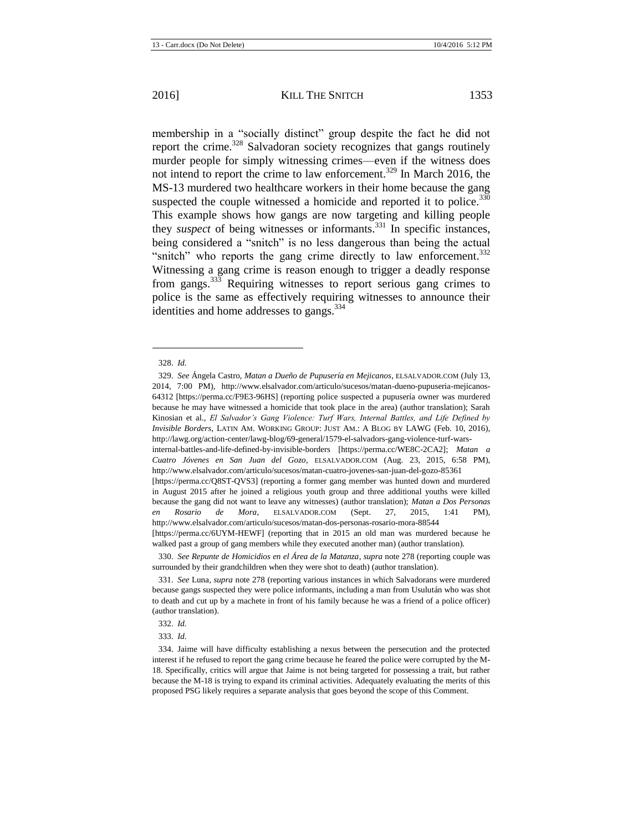<span id="page-41-0"></span>membership in a "socially distinct" group despite the fact he did not report the crime.<sup>328</sup> Salvadoran society recognizes that gangs routinely murder people for simply witnessing crimes—even if the witness does not intend to report the crime to law enforcement.<sup>329</sup> In March 2016, the MS-13 murdered two healthcare workers in their home because the gang suspected the couple witnessed a homicide and reported it to police.<sup>330</sup> This example shows how gangs are now targeting and killing people they *suspect* of being witnesses or informants.<sup>331</sup> In specific instances, being considered a "snitch" is no less dangerous than being the actual "snitch" who reports the gang crime directly to law enforcement.<sup>332</sup> Witnessing a gang crime is reason enough to trigger a deadly response from gangs.<sup>333</sup> Requiring witnesses to report serious gang crimes to police is the same as effectively requiring witnesses to announce their identities and home addresses to gangs.<sup>334</sup>

l

330. *See Repunte de Homicidios en el Área de la Matanza*, *supra* not[e 278](#page-34-2) (reporting couple was surrounded by their grandchildren when they were shot to death) (author translation).

332. *Id.*

333. *Id.*

<sup>328.</sup> *Id.*

<sup>329.</sup> *See* Ángela Castro, *Matan a Dueño de Pupusería en Mejicanos*, ELSALVADOR.COM (July 13, 2014, 7:00 PM), http://www.elsalvador.com/articulo/sucesos/matan-dueno-pupuseria-mejicanos-64312 [https://perma.cc/F9E3-96HS] (reporting police suspected a pupusería owner was murdered because he may have witnessed a homicide that took place in the area) (author translation); Sarah Kinosian et al., *El Salvador's Gang Violence: Turf Wars, Internal Battles, and Life Defined by Invisible Borders*, LATIN AM. WORKING GROUP: JUST AM.: A BLOG BY LAWG (Feb. 10, 2016), http://lawg.org/action-center/lawg-blog/69-general/1579-el-salvadors-gang-violence-turf-wars-

internal-battles-and-life-defined-by-invisible-borders [https://perma.cc/WE8C-2CA2]; *Matan a Cuatro Jóvenes en San Juan del Gozo*, ELSALVADOR.COM (Aug. 23, 2015, 6:58 PM), http://www.elsalvador.com/articulo/sucesos/matan-cuatro-jovenes-san-juan-del-gozo-85361

<sup>[</sup>https://perma.cc/Q8ST-QVS3] (reporting a former gang member was hunted down and murdered in August 2015 after he joined a religious youth group and three additional youths were killed because the gang did not want to leave any witnesses) (author translation); *Matan a Dos Personas en Rosario de Mora*, ELSALVADOR.COM (Sept. 27, 2015, 1:41 PM), http://www.elsalvador.com/articulo/sucesos/matan-dos-personas-rosario-mora-88544

<sup>[</sup>https://perma.cc/6UYM-HEWF] (reporting that in 2015 an old man was murdered because he walked past a group of gang members while they executed another man) (author translation).

<sup>331.</sup> *See* Luna, *supra* note [278](#page-34-2) (reporting various instances in which Salvadorans were murdered because gangs suspected they were police informants, including a man from Usulután who was shot to death and cut up by a machete in front of his family because he was a friend of a police officer) (author translation).

<sup>334.</sup> Jaime will have difficulty establishing a nexus between the persecution and the protected interest if he refused to report the gang crime because he feared the police were corrupted by the M-18. Specifically, critics will argue that Jaime is not being targeted for possessing a trait, but rather because the M-18 is trying to expand its criminal activities. Adequately evaluating the merits of this proposed PSG likely requires a separate analysis that goes beyond the scope of this Comment.